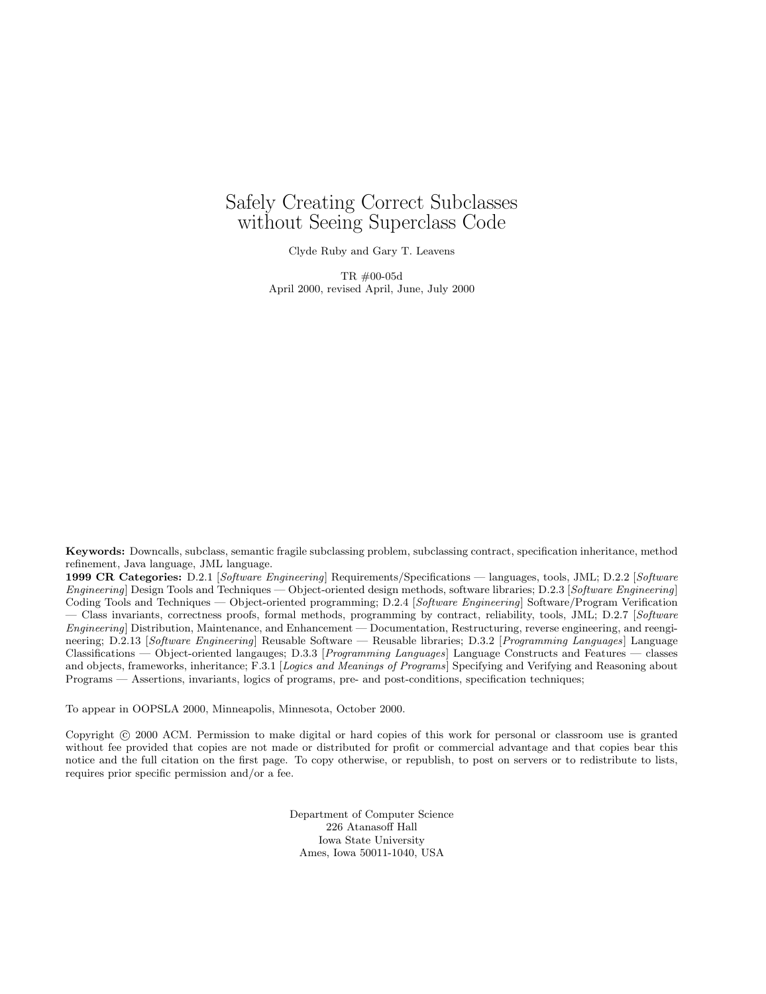# Safely Creating Correct Subclasses without Seeing Superclass Code

Clyde Ruby and Gary T. Leavens

TR #00-05d April 2000, revised April, June, July 2000

Keywords: Downcalls, subclass, semantic fragile subclassing problem, subclassing contract, specification inheritance, method refinement, Java language, JML language.

1999 CR Categories: D.2.1 [Software Engineering] Requirements/Specifications — languages, tools, JML; D.2.2 [Software Engineering] Design Tools and Techniques — Object-oriented design methods, software libraries; D.2.3 [Software Engineering] Coding Tools and Techniques — Object-oriented programming; D.2.4 [Software Engineering] Software/Program Verification — Class invariants, correctness proofs, formal methods, programming by contract, reliability, tools, JML; D.2.7 [Software Engineering] Distribution, Maintenance, and Enhancement — Documentation, Restructuring, reverse engineering, and reengineering; D.2.13 [Software Engineering] Reusable Software — Reusable libraries; D.3.2 [Programming Languages] Language Classifications — Object-oriented langauges; D.3.3 [Programming Languages] Language Constructs and Features — classes and objects, frameworks, inheritance; F.3.1 [Logics and Meanings of Programs] Specifying and Verifying and Reasoning about Programs — Assertions, invariants, logics of programs, pre- and post-conditions, specification techniques;

To appear in OOPSLA 2000, Minneapolis, Minnesota, October 2000.

Copyright © 2000 ACM. Permission to make digital or hard copies of this work for personal or classroom use is granted without fee provided that copies are not made or distributed for profit or commercial advantage and that copies bear this notice and the full citation on the first page. To copy otherwise, or republish, to post on servers or to redistribute to lists, requires prior specific permission and/or a fee.

> Department of Computer Science 226 Atanasoff Hall Iowa State University Ames, Iowa 50011-1040, USA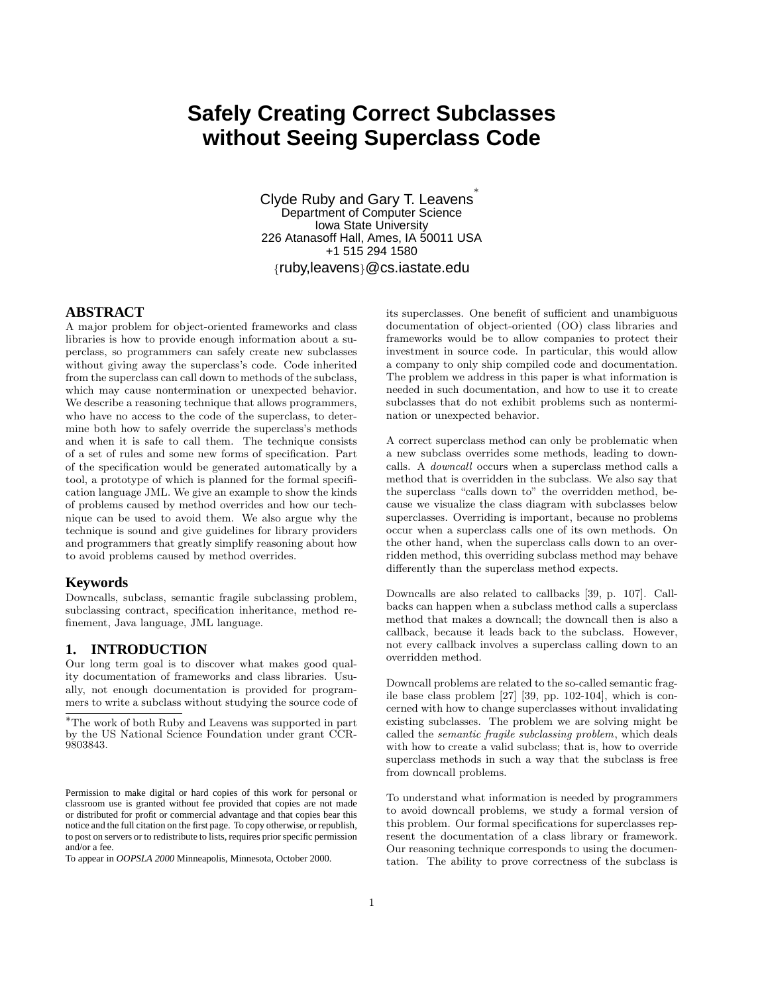# **Safely Creating Correct Subclasses without Seeing Superclass Code**

Clyde Ruby and Gary T. Leavens $\degree$ Department of Computer Science Iowa State University 226 Atanasoff Hall, Ames, IA 50011 USA +1 515 294 1580 {ruby,leavens}@cs.iastate.edu

#### **ABSTRACT**

A major problem for object-oriented frameworks and class libraries is how to provide enough information about a superclass, so programmers can safely create new subclasses without giving away the superclass's code. Code inherited from the superclass can call down to methods of the subclass, which may cause nontermination or unexpected behavior. We describe a reasoning technique that allows programmers, who have no access to the code of the superclass, to determine both how to safely override the superclass's methods and when it is safe to call them. The technique consists of a set of rules and some new forms of specification. Part of the specification would be generated automatically by a tool, a prototype of which is planned for the formal specification language JML. We give an example to show the kinds of problems caused by method overrides and how our technique can be used to avoid them. We also argue why the technique is sound and give guidelines for library providers and programmers that greatly simplify reasoning about how to avoid problems caused by method overrides.

#### **Keywords**

Downcalls, subclass, semantic fragile subclassing problem, subclassing contract, specification inheritance, method refinement, Java language, JML language.

# **1. INTRODUCTION**

Our long term goal is to discover what makes good quality documentation of frameworks and class libraries. Usually, not enough documentation is provided for programmers to write a subclass without studying the source code of

To appear in *OOPSLA 2000* Minneapolis, Minnesota, October 2000.

its superclasses. One benefit of sufficient and unambiguous documentation of object-oriented (OO) class libraries and frameworks would be to allow companies to protect their investment in source code. In particular, this would allow a company to only ship compiled code and documentation. The problem we address in this paper is what information is needed in such documentation, and how to use it to create subclasses that do not exhibit problems such as nontermination or unexpected behavior.

A correct superclass method can only be problematic when a new subclass overrides some methods, leading to downcalls. A downcall occurs when a superclass method calls a method that is overridden in the subclass. We also say that the superclass "calls down to" the overridden method, because we visualize the class diagram with subclasses below superclasses. Overriding is important, because no problems occur when a superclass calls one of its own methods. On the other hand, when the superclass calls down to an overridden method, this overriding subclass method may behave differently than the superclass method expects.

Downcalls are also related to callbacks [39, p. 107]. Callbacks can happen when a subclass method calls a superclass method that makes a downcall; the downcall then is also a callback, because it leads back to the subclass. However, not every callback involves a superclass calling down to an overridden method.

Downcall problems are related to the so-called semantic fragile base class problem [27] [39, pp. 102-104], which is concerned with how to change superclasses without invalidating existing subclasses. The problem we are solving might be called the semantic fragile subclassing problem, which deals with how to create a valid subclass; that is, how to override superclass methods in such a way that the subclass is free from downcall problems.

To understand what information is needed by programmers to avoid downcall problems, we study a formal version of this problem. Our formal specifications for superclasses represent the documentation of a class library or framework. Our reasoning technique corresponds to using the documentation. The ability to prove correctness of the subclass is

<sup>∗</sup>The work of both Ruby and Leavens was supported in part by the US National Science Foundation under grant CCR-9803843.

Permission to make digital or hard copies of this work for personal or classroom use is granted without fee provided that copies are not made or distributed for profit or commercial advantage and that copies bear this notice and the full citation on the first page. To copy otherwise, or republish, to post on servers or to redistribute to lists, requires prior specific permission and/or a fee.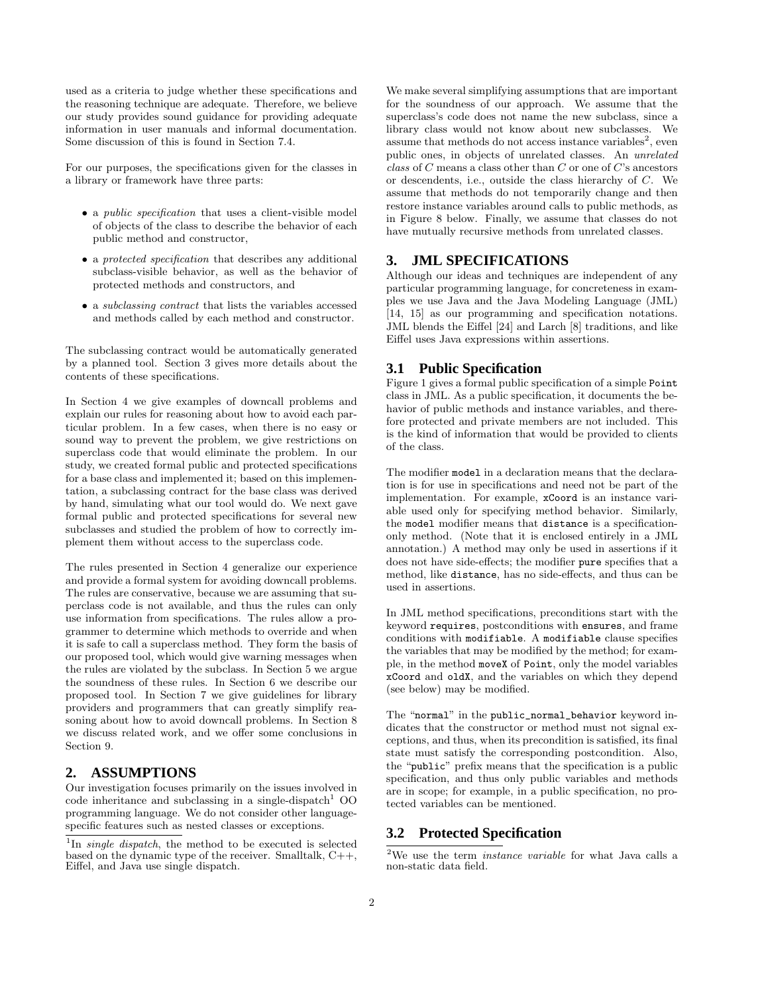used as a criteria to judge whether these specifications and the reasoning technique are adequate. Therefore, we believe our study provides sound guidance for providing adequate information in user manuals and informal documentation. Some discussion of this is found in Section 7.4.

For our purposes, the specifications given for the classes in a library or framework have three parts:

- a *public specification* that uses a client-visible model of objects of the class to describe the behavior of each public method and constructor,
- a *protected specification* that describes any additional subclass-visible behavior, as well as the behavior of protected methods and constructors, and
- a subclassing contract that lists the variables accessed and methods called by each method and constructor.

The subclassing contract would be automatically generated by a planned tool. Section 3 gives more details about the contents of these specifications.

In Section 4 we give examples of downcall problems and explain our rules for reasoning about how to avoid each particular problem. In a few cases, when there is no easy or sound way to prevent the problem, we give restrictions on superclass code that would eliminate the problem. In our study, we created formal public and protected specifications for a base class and implemented it; based on this implementation, a subclassing contract for the base class was derived by hand, simulating what our tool would do. We next gave formal public and protected specifications for several new subclasses and studied the problem of how to correctly implement them without access to the superclass code.

The rules presented in Section 4 generalize our experience and provide a formal system for avoiding downcall problems. The rules are conservative, because we are assuming that superclass code is not available, and thus the rules can only use information from specifications. The rules allow a programmer to determine which methods to override and when it is safe to call a superclass method. They form the basis of our proposed tool, which would give warning messages when the rules are violated by the subclass. In Section 5 we argue the soundness of these rules. In Section 6 we describe our proposed tool. In Section 7 we give guidelines for library providers and programmers that can greatly simplify reasoning about how to avoid downcall problems. In Section 8 we discuss related work, and we offer some conclusions in Section 9.

## **2. ASSUMPTIONS**

Our investigation focuses primarily on the issues involved in code inheritance and subclassing in a single-dispatch<sup>1</sup> OO programming language. We do not consider other languagespecific features such as nested classes or exceptions.

We make several simplifying assumptions that are important for the soundness of our approach. We assume that the superclass's code does not name the new subclass, since a library class would not know about new subclasses. We assume that methods do not access instance variables<sup>2</sup>, even public ones, in objects of unrelated classes. An unrelated class of  $C$  means a class other than  $C$  or one of  $C$ 's ancestors or descendents, i.e., outside the class hierarchy of C. We assume that methods do not temporarily change and then restore instance variables around calls to public methods, as in Figure 8 below. Finally, we assume that classes do not have mutually recursive methods from unrelated classes.

## **3. JML SPECIFICATIONS**

Although our ideas and techniques are independent of any particular programming language, for concreteness in examples we use Java and the Java Modeling Language (JML) [14, 15] as our programming and specification notations. JML blends the Eiffel [24] and Larch [8] traditions, and like Eiffel uses Java expressions within assertions.

#### **3.1 Public Specification**

Figure 1 gives a formal public specification of a simple Point class in JML. As a public specification, it documents the behavior of public methods and instance variables, and therefore protected and private members are not included. This is the kind of information that would be provided to clients of the class.

The modifier model in a declaration means that the declaration is for use in specifications and need not be part of the implementation. For example, xCoord is an instance variable used only for specifying method behavior. Similarly, the model modifier means that distance is a specificationonly method. (Note that it is enclosed entirely in a JML annotation.) A method may only be used in assertions if it does not have side-effects; the modifier pure specifies that a method, like distance, has no side-effects, and thus can be used in assertions.

In JML method specifications, preconditions start with the keyword requires, postconditions with ensures, and frame conditions with modifiable. A modifiable clause specifies the variables that may be modified by the method; for example, in the method moveX of Point, only the model variables xCoord and oldX, and the variables on which they depend (see below) may be modified.

The "normal" in the public\_normal\_behavior keyword indicates that the constructor or method must not signal exceptions, and thus, when its precondition is satisfied, its final state must satisfy the corresponding postcondition. Also, the "public" prefix means that the specification is a public specification, and thus only public variables and methods are in scope; for example, in a public specification, no protected variables can be mentioned.

## **3.2 Protected Specification**

<sup>&</sup>lt;sup>1</sup>In *single dispatch*, the method to be executed is selected based on the dynamic type of the receiver. Smalltalk,  $C_{++}$ , Eiffel, and Java use single dispatch.

<sup>2</sup>We use the term instance variable for what Java calls a non-static data field.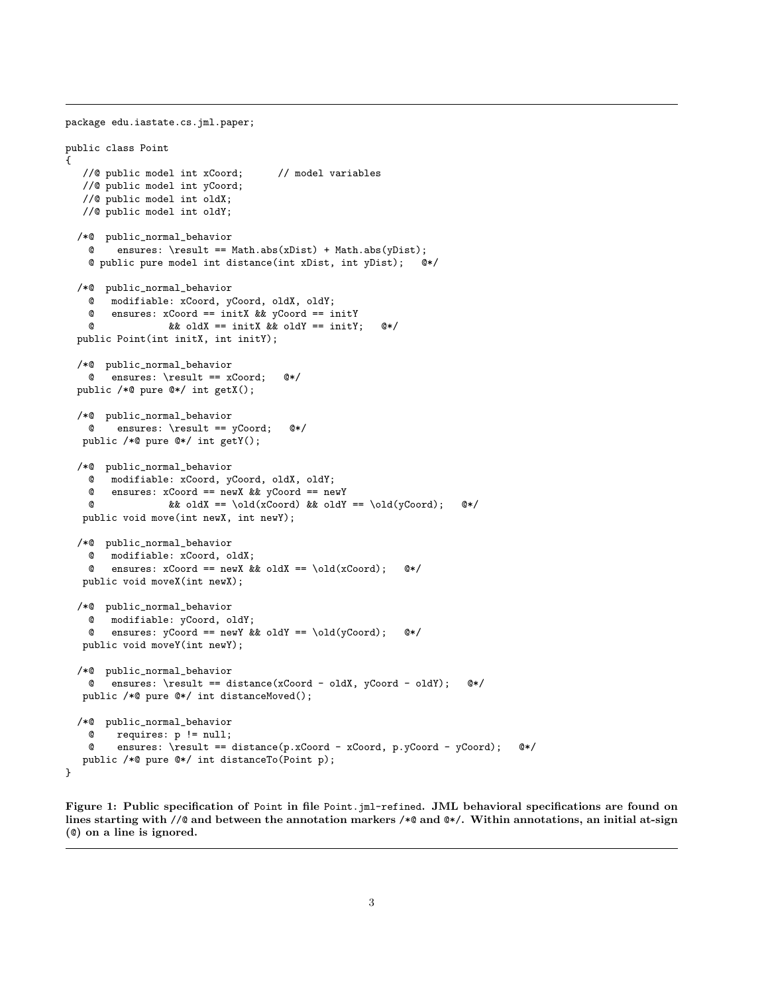```
package edu.iastate.cs.jml.paper;
public class Point
{
  //@ public model int xCoord; // model variables
  //@ public model int yCoord;
  //@ public model int oldX;
  //@ public model int oldY;
  /*@ public_normal_behavior
   @ ensures: \result == Math.abs(xDist) + Math.abs(yDist);
   @ public pure model int distance(int xDist, int yDist); @*/
  /*@ public_normal_behavior
   @ modifiable: xCoord, yCoord, oldX, oldY;
   @ ensures: xCoord == initX && yCoord == initY
   @ && oldX == initX && oldY == initY; @*/
  public Point(int initX, int initY);
  /*@ public-normal_behaviour<br/>\n@ ensures: 'result == xensures: \text{result} == xCoord; ②*/public /*@ pure @*/ int getX();
  /*@ public_normal_behavior
   @ ensures: \result == yCoord; @*/
  public /*@ pure @*/ int getY();
  /*@ public_normal_behavior
   @ modifiable: xCoord, yCoord, oldX, oldY;
   @ ensures: xCoord == newX && yCoord == newY
   @ && oldX == \old(xCoord) && oldY == \old(yCoord); @*/public void move(int newX, int newY);
  /*@ public_normal_behavior
   @ modifiable: xCoord, oldX;
   @ ensures: xCoord == newX && oldX == \old(xCoord); @*/public void moveX(int newX);
  /*@ public_normal_behavior
    @ modifiable: yCoord, oldY;
   @ ensures: yCoord == newY && oldY == \old(yCoord); @*/public void moveY(int newY);
  /*@ public_normal_behavior
   @ ensures: \result == distance(xCoord - oldX, yCoord - oldY); @*/public /*@ pure @*/ int distanceMoved();
  /*@ public_normal_behavior
   @ requires: p != null;
   @ ensures: \result == distance(p.xCoord - xCoord, p.yCoord - yCoord); @*/
  public /*@ pure @*/ int distanceTo(Point p);
}
```
Figure 1: Public specification of Point in file Point.jml-refined. JML behavioral specifications are found on lines starting with //@ and between the annotation markers /\*@ and @\*/. Within annotations, an initial at-sign (@) on a line is ignored.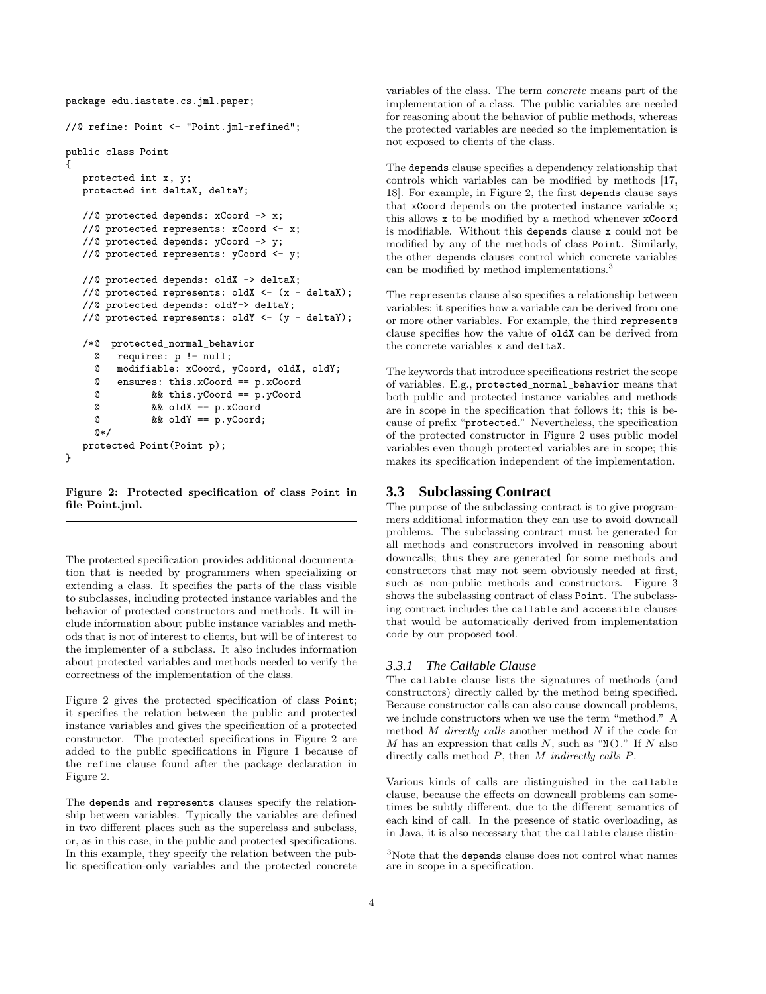```
package edu.iastate.cs.jml.paper;
//@ refine: Point <- "Point.jml-refined";
public class Point
{
  protected int x, y;
  protected int deltaX, deltaY;
  //@ protected depends: xCoord -> x;
  //@ protected represents: xCoord <- x;
  //@ protected depends: yCoord -> y;
  //@ protected represents: yCoord <- y;
  //@ protected depends: oldX -> deltaX;
   //@ protected represents: oldX <- (x - deltaX);
  //@ protected depends: oldY-> deltaY;
   //@ protected represents: oldY <- (y - deltaY);
   /*@ protected_normal_behavior
    @ requires: p != null;
    @ modifiable: xCoord, yCoord, oldX, oldY;
    @ ensures: this.xCoord == p.xCoord
    @ && this.yCoord == p.yCoord
    @ && oldX == p.xCoord
    @ && oldY == p.yCoord;
    @*/
  protected Point(Point p);
}
```
Figure 2: Protected specification of class Point in file Point.jml.

The protected specification provides additional documentation that is needed by programmers when specializing or extending a class. It specifies the parts of the class visible to subclasses, including protected instance variables and the behavior of protected constructors and methods. It will include information about public instance variables and methods that is not of interest to clients, but will be of interest to the implementer of a subclass. It also includes information about protected variables and methods needed to verify the correctness of the implementation of the class.

Figure 2 gives the protected specification of class Point; it specifies the relation between the public and protected instance variables and gives the specification of a protected constructor. The protected specifications in Figure 2 are added to the public specifications in Figure 1 because of the refine clause found after the package declaration in Figure 2.

The depends and represents clauses specify the relationship between variables. Typically the variables are defined in two different places such as the superclass and subclass, or, as in this case, in the public and protected specifications. In this example, they specify the relation between the public specification-only variables and the protected concrete variables of the class. The term concrete means part of the implementation of a class. The public variables are needed for reasoning about the behavior of public methods, whereas the protected variables are needed so the implementation is not exposed to clients of the class.

The depends clause specifies a dependency relationship that controls which variables can be modified by methods [17, 18]. For example, in Figure 2, the first depends clause says that xCoord depends on the protected instance variable x; this allows x to be modified by a method whenever xCoord is modifiable. Without this depends clause x could not be modified by any of the methods of class Point. Similarly, the other depends clauses control which concrete variables can be modified by method implementations.<sup>3</sup>

The represents clause also specifies a relationship between variables; it specifies how a variable can be derived from one or more other variables. For example, the third represents clause specifies how the value of oldX can be derived from the concrete variables x and deltaX.

The keywords that introduce specifications restrict the scope of variables. E.g., protected\_normal\_behavior means that both public and protected instance variables and methods are in scope in the specification that follows it; this is because of prefix "protected." Nevertheless, the specification of the protected constructor in Figure 2 uses public model variables even though protected variables are in scope; this makes its specification independent of the implementation.

#### **3.3 Subclassing Contract**

The purpose of the subclassing contract is to give programmers additional information they can use to avoid downcall problems. The subclassing contract must be generated for all methods and constructors involved in reasoning about downcalls; thus they are generated for some methods and constructors that may not seem obviously needed at first, such as non-public methods and constructors. Figure 3 shows the subclassing contract of class Point. The subclassing contract includes the callable and accessible clauses that would be automatically derived from implementation code by our proposed tool.

### *3.3.1 The Callable Clause*

The callable clause lists the signatures of methods (and constructors) directly called by the method being specified. Because constructor calls can also cause downcall problems, we include constructors when we use the term "method." A method  $M$  directly calls another method  $N$  if the code for M has an expression that calls N, such as " $N()$ ." If N also directly calls method  $P$ , then  $M$  indirectly calls  $P$ .

Various kinds of calls are distinguished in the callable clause, because the effects on downcall problems can sometimes be subtly different, due to the different semantics of each kind of call. In the presence of static overloading, as in Java, it is also necessary that the callable clause distin-

 ${}^{3}\mathrm{Note}$  that the depends clause does not control what names are in scope in a specification.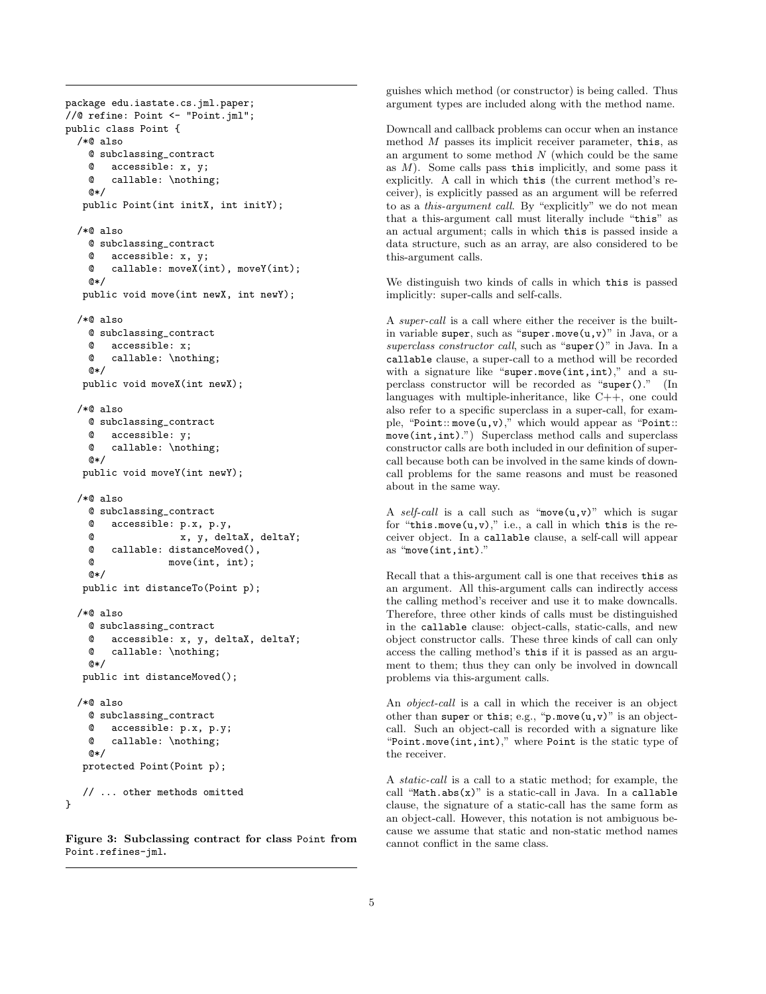```
package edu.iastate.cs.jml.paper;
//@ refine: Point <- "Point.jml";
public class Point {
  /*@ also
    @ subclassing_contract<br>@ accessible: x. v:
    @ accessible: x, y;<br>@ callable: \nothin
        callable: \nothing;
    @*public Point(int initX, int initY);
  /*@ also
    @ subclassing_contract
    @ accessible: x, y;<br>@ callable: moveX(i
        callable: moveX(int), moveY(int);
    @*/
   public void move(int newX, int newY);
  /*@ also
    @ subclassing_contract<br>@ accessible: x.
    Q accessible: x;<br>Q callable: \not
        callable: \nothing:
    @*/
   public void moveX(int newX);
  /*@ also
    @ subclassing_contract
    @ accessible: y;
    @ callable: \nothing;
    @*/
   public void moveY(int newY);
  /*@ also
    @ subclassing_contract<br>@ accessible: p.x. p
         accessible: p.x, p.y,
    @ x, y, deltaX, deltaY;
    @ callable: distanceMoved(),
    @ move(int, int);
    @*/
   public int distanceTo(Point p);
  /*@ also
    @ subclassing_contract
    @ accessible: x, y, deltaX, deltaY;
    @ callable: \nothing;
    @*public int distanceMoved();
  /*@ also
    @ subclassing_contract
    @ accessible: p.x, p.y;
    @ callable: \nothing;
    @*protected Point(Point p);
   // ... other methods omitted
}
```
Figure 3: Subclassing contract for class Point from Point.refines-jml.

guishes which method (or constructor) is being called. Thus argument types are included along with the method name.

Downcall and callback problems can occur when an instance method  $M$  passes its implicit receiver parameter, this, as an argument to some method  $N$  (which could be the same as  $M$ ). Some calls pass this implicitly, and some pass it explicitly. A call in which this (the current method's receiver), is explicitly passed as an argument will be referred to as a this-argument call. By "explicitly" we do not mean that a this-argument call must literally include "this" as an actual argument; calls in which this is passed inside a data structure, such as an array, are also considered to be this-argument calls.

We distinguish two kinds of calls in which this is passed implicitly: super-calls and self-calls.

A super-call is a call where either the receiver is the builtin variable super, such as "super.move(u,v)" in Java, or a superclass constructor call, such as "super()" in Java. In a callable clause, a super-call to a method will be recorded with a signature like "super.move(int,int)," and a superclass constructor will be recorded as "super()." (In languages with multiple-inheritance, like C++, one could also refer to a specific superclass in a super-call, for example, "Point:: move $(u, v)$ ," which would appear as "Point:: move(int,int).") Superclass method calls and superclass constructor calls are both included in our definition of supercall because both can be involved in the same kinds of downcall problems for the same reasons and must be reasoned about in the same way.

A self-call is a call such as "move  $(u, v)$ " which is sugar for "this.move $(u,v)$ ," i.e., a call in which this is the receiver object. In a callable clause, a self-call will appear as "move(int,int)."

Recall that a this-argument call is one that receives this as an argument. All this-argument calls can indirectly access the calling method's receiver and use it to make downcalls. Therefore, three other kinds of calls must be distinguished in the callable clause: object-calls, static-calls, and new object constructor calls. These three kinds of call can only access the calling method's this if it is passed as an argument to them; thus they can only be involved in downcall problems via this-argument calls.

An object-call is a call in which the receiver is an object other than super or this; e.g., "p.move $(u,v)$ " is an objectcall. Such an object-call is recorded with a signature like "Point.move(int,int)," where Point is the static type of the receiver.

A static-call is a call to a static method; for example, the call "Math.abs $(x)$ " is a static-call in Java. In a callable clause, the signature of a static-call has the same form as an object-call. However, this notation is not ambiguous because we assume that static and non-static method names cannot conflict in the same class.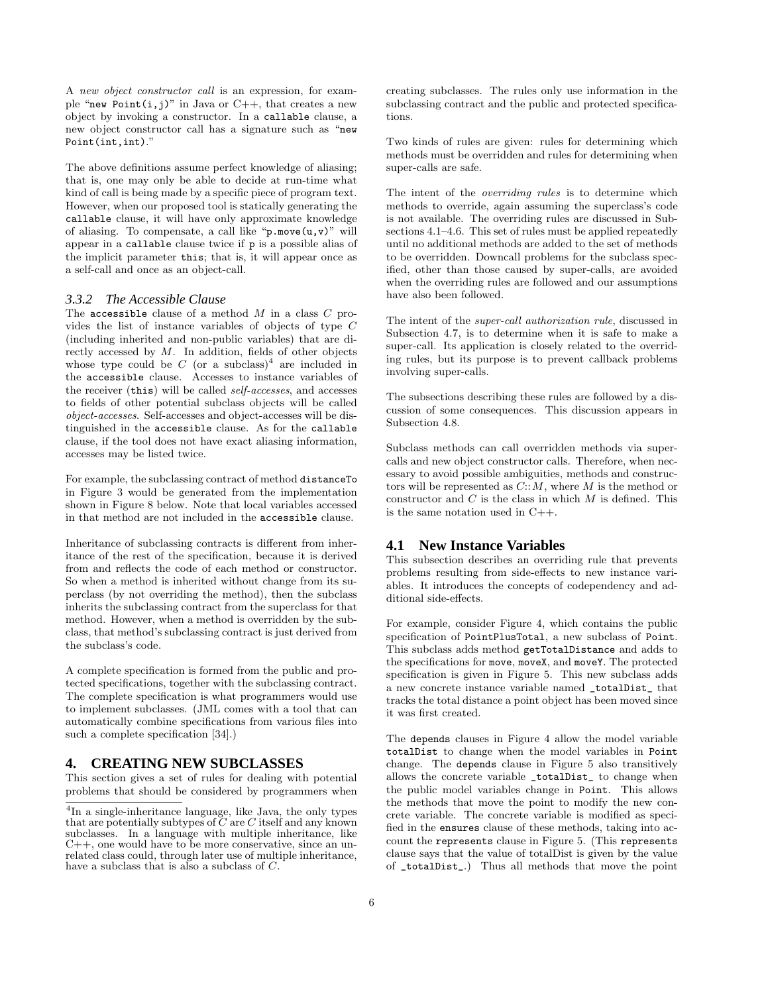A new object constructor call is an expression, for example "new Point $(i,j)$ " in Java or  $C++$ , that creates a new object by invoking a constructor. In a callable clause, a new object constructor call has a signature such as "new Point(int,int)."

The above definitions assume perfect knowledge of aliasing; that is, one may only be able to decide at run-time what kind of call is being made by a specific piece of program text. However, when our proposed tool is statically generating the callable clause, it will have only approximate knowledge of aliasing. To compensate, a call like " $p$ .move( $u,v$ )" will appear in a callable clause twice if p is a possible alias of the implicit parameter this; that is, it will appear once as a self-call and once as an object-call.

#### *3.3.2 The Accessible Clause*

The accessible clause of a method  $M$  in a class  $C$  provides the list of instance variables of objects of type C (including inherited and non-public variables) that are directly accessed by  $M$ . In addition, fields of other objects whose type could be C (or a subclass)<sup>4</sup> are included in the accessible clause. Accesses to instance variables of the receiver (this) will be called self-accesses, and accesses to fields of other potential subclass objects will be called object-accesses. Self-accesses and object-accesses will be distinguished in the accessible clause. As for the callable clause, if the tool does not have exact aliasing information, accesses may be listed twice.

For example, the subclassing contract of method distanceTo in Figure 3 would be generated from the implementation shown in Figure 8 below. Note that local variables accessed in that method are not included in the accessible clause.

Inheritance of subclassing contracts is different from inheritance of the rest of the specification, because it is derived from and reflects the code of each method or constructor. So when a method is inherited without change from its superclass (by not overriding the method), then the subclass inherits the subclassing contract from the superclass for that method. However, when a method is overridden by the subclass, that method's subclassing contract is just derived from the subclass's code.

A complete specification is formed from the public and protected specifications, together with the subclassing contract. The complete specification is what programmers would use to implement subclasses. (JML comes with a tool that can automatically combine specifications from various files into such a complete specification [34].)

## **4. CREATING NEW SUBCLASSES**

This section gives a set of rules for dealing with potential problems that should be considered by programmers when creating subclasses. The rules only use information in the subclassing contract and the public and protected specifications.

Two kinds of rules are given: rules for determining which methods must be overridden and rules for determining when super-calls are safe.

The intent of the overriding rules is to determine which methods to override, again assuming the superclass's code is not available. The overriding rules are discussed in Subsections 4.1–4.6. This set of rules must be applied repeatedly until no additional methods are added to the set of methods to be overridden. Downcall problems for the subclass specified, other than those caused by super-calls, are avoided when the overriding rules are followed and our assumptions have also been followed.

The intent of the super-call authorization rule, discussed in Subsection 4.7, is to determine when it is safe to make a super-call. Its application is closely related to the overriding rules, but its purpose is to prevent callback problems involving super-calls.

The subsections describing these rules are followed by a discussion of some consequences. This discussion appears in Subsection 4.8.

Subclass methods can call overridden methods via supercalls and new object constructor calls. Therefore, when necessary to avoid possible ambiguities, methods and constructors will be represented as  $C: M$ , where M is the method or constructor and  $C$  is the class in which  $M$  is defined. This is the same notation used in C++.

#### **4.1 New Instance Variables**

This subsection describes an overriding rule that prevents problems resulting from side-effects to new instance variables. It introduces the concepts of codependency and additional side-effects.

For example, consider Figure 4, which contains the public specification of PointPlusTotal, a new subclass of Point. This subclass adds method getTotalDistance and adds to the specifications for move, moveX, and moveY. The protected specification is given in Figure 5. This new subclass adds a new concrete instance variable named \_totalDist\_ that tracks the total distance a point object has been moved since it was first created.

The depends clauses in Figure 4 allow the model variable totalDist to change when the model variables in Point change. The depends clause in Figure 5 also transitively allows the concrete variable \_totalDist\_ to change when the public model variables change in Point. This allows the methods that move the point to modify the new concrete variable. The concrete variable is modified as specified in the ensures clause of these methods, taking into account the represents clause in Figure 5. (This represents clause says that the value of totalDist is given by the value of \_totalDist\_.) Thus all methods that move the point

<sup>4</sup> In a single-inheritance language, like Java, the only types that are potentially subtypes of  $\overline{C}$  are C itself and any known subclasses. In a language with multiple inheritance, like  $C++$ , one would have to be more conservative, since an unrelated class could, through later use of multiple inheritance, have a subclass that is also a subclass of C.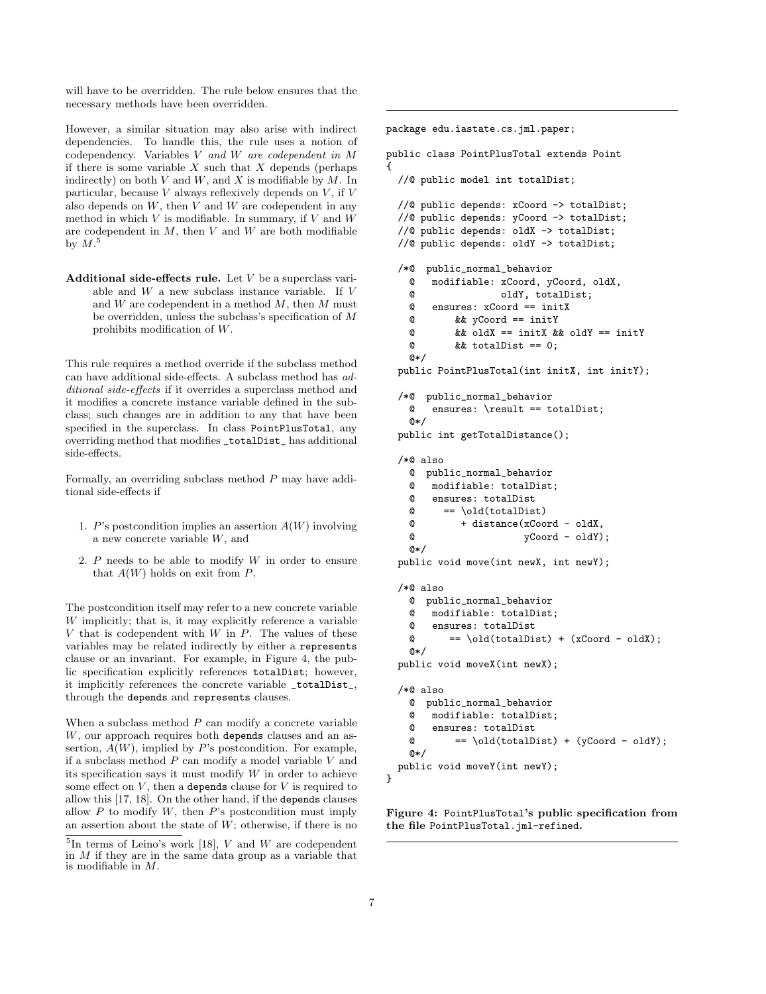will have to be overridden. The rule below ensures that the necessary methods have been overridden.

However, a similar situation may also arise with indirect dependencies. To handle this, the rule uses a notion of codependency. Variables V and W are codependent in M if there is some variable  $X$  such that  $X$  depends (perhaps indirectly) on both V and W, and X is modifiable by M. In particular, because V always reflexively depends on  $V$ , if  $V$ also depends on  $W$ , then  $V$  and  $W$  are codependent in any method in which  $V$  is modifiable. In summary, if  $V$  and  $W$ are codependent in  $M$ , then  $V$  and  $W$  are both modifiable by  $M.^5$ 

Additional side-effects rule. Let  $V$  be a superclass variable and W a new subclass instance variable. If V and  $W$  are codependent in a method  $M$ , then  $M$  must be overridden, unless the subclass's specification of M prohibits modification of W.

This rule requires a method override if the subclass method can have additional side-effects. A subclass method has additional side-effects if it overrides a superclass method and it modifies a concrete instance variable defined in the subclass; such changes are in addition to any that have been specified in the superclass. In class PointPlusTotal, any overriding method that modifies \_totalDist\_ has additional side-effects.

Formally, an overriding subclass method P may have additional side-effects if

- 1. P's postcondition implies an assertion  $A(W)$  involving a new concrete variable W, and
- 2.  $P$  needs to be able to modify  $W$  in order to ensure that  $A(W)$  holds on exit from P.

The postcondition itself may refer to a new concrete variable  $W$  implicitly; that is, it may explicitly reference a variable  $V$  that is codependent with  $W$  in  $P$ . The values of these variables may be related indirectly by either a represents clause or an invariant. For example, in Figure 4, the public specification explicitly references totalDist; however, it implicitly references the concrete variable \_totalDist\_, through the depends and represents clauses.

When a subclass method  $P$  can modify a concrete variable W, our approach requires both depends clauses and an assertion,  $A(W)$ , implied by P's postcondition. For example, if a subclass method  $P$  can modify a model variable  $V$  and its specification says it must modify  $W$  in order to achieve some effect on  $V$ , then a depends clause for  $V$  is required to allow this [17, 18]. On the other hand, if the depends clauses allow  $P$  to modify  $W$ , then  $P$ 's postcondition must imply an assertion about the state of  $W$ ; otherwise, if there is no

```
package edu.iastate.cs.jml.paper;
public class PointPlusTotal extends Point
{
  //@ public model int totalDist;
  //@ public depends: xCoord -> totalDist;
  //@ public depends: yCoord -> totalDist;
  //@ public depends: oldX -> totalDist;
  //@ public depends: oldY -> totalDist;
  /*@ public_normal_behavior
    @ modifiable: xCoord, yCoord, oldX,
    @ oldY, totalDist;
    @ ensures: xCoord == initX
    @ && yCoord == initY
    \begin{array}{lll} \mathbf{0} & \& \& \text{oldX} == \text{initX} \& \& \text{oldY} == \text{initY} \end{array}& totalDist == 0;
    @*/
  public PointPlusTotal(int initX, int initY);
  /*@ public_normal_behavior
         ensures: \result == totalDist;@*/
  public int getTotalDistance();
  /*@ also
    @ public_normal_behavior
    @ modifiable: totalDist;<br>@ ensures: totalDist
    @ ensures: totalDist<br>@ = \cdot \text{old}(\text{totalDis})@ = = \cdot \text{old}(\text{totalDist})<br>
@ + \text{distance}(\text{xCoc})+ distance(xCoord - oldX,
    @ yCoord - oldY);
    @*/
  public void move(int newX, int newY);
  /*@ also
    © public_normal_behavior<br>© modifiable: totalDist
         modifiable: totalDist:
    @ ensures: totalDist
    @ == \old(totalDist) + (xCoord - oldX);
    \mathbb{R} /
  public void moveX(int newX);
  /*@ also
    @ public_normal_behavior
    @ modifiable: totalDist;
    @ ensures: totalDist
    @ == \old(totalDist) + (yCoord - oldY);
    0*/public void moveY(int newY);
}
```
Figure 4: PointPlusTotal's public specification from the file PointPlusTotal.jml-refined.

 ${}^{5}$ In terms of Leino's work [18], V and W are codependent in  $M$  if they are in the same data group as a variable that is modifiable in M.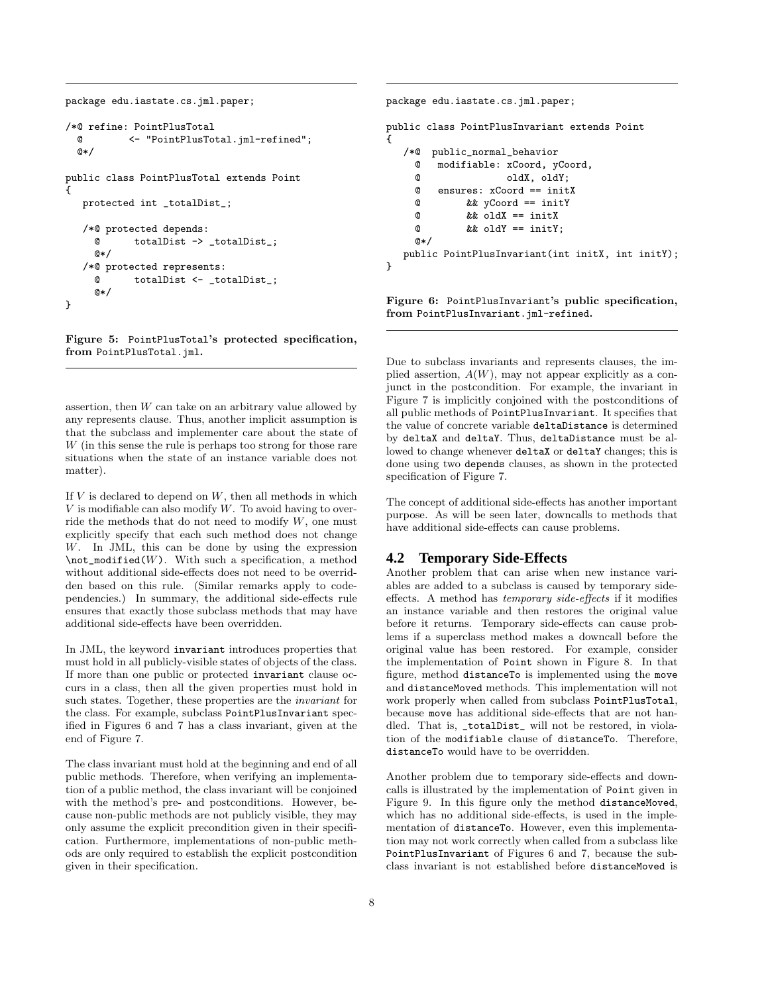```
package edu.iastate.cs.jml.paper;
/*@ refine: PointPlusTotal
           @ <- "PointPlusTotal.jml-refined";
  @*/
public class PointPlusTotal extends Point
{
   protected int _totalDist_;
   /*@ protected depends:
     @ totalDist -> _totalDist_;
     @*/
   /*@ protected represents:
     @ totalDist <- _totalDist_;
     @*}
```
Figure 5: PointPlusTotal's protected specification, from PointPlusTotal.jml.

assertion, then  $W$  can take on an arbitrary value allowed by any represents clause. Thus, another implicit assumption is that the subclass and implementer care about the state of  $W$  (in this sense the rule is perhaps too strong for those rare situations when the state of an instance variable does not matter).

If  $V$  is declared to depend on  $W$ , then all methods in which  $V$  is modifiable can also modify  $W$ . To avoid having to override the methods that do not need to modify  $W$ , one must explicitly specify that each such method does not change W. In JML, this can be done by using the expression  $\text{modified}(W)$ . With such a specification, a method without additional side-effects does not need to be overridden based on this rule. (Similar remarks apply to codependencies.) In summary, the additional side-effects rule ensures that exactly those subclass methods that may have additional side-effects have been overridden.

In JML, the keyword invariant introduces properties that must hold in all publicly-visible states of objects of the class. If more than one public or protected invariant clause occurs in a class, then all the given properties must hold in such states. Together, these properties are the invariant for the class. For example, subclass PointPlusInvariant specified in Figures 6 and 7 has a class invariant, given at the end of Figure 7.

The class invariant must hold at the beginning and end of all public methods. Therefore, when verifying an implementation of a public method, the class invariant will be conjoined with the method's pre- and postconditions. However, because non-public methods are not publicly visible, they may only assume the explicit precondition given in their specification. Furthermore, implementations of non-public methods are only required to establish the explicit postcondition given in their specification.

package edu.iastate.cs.jml.paper;

```
public class PointPlusInvariant extends Point
{
  /*@ public_normal_behavior
        modifiable: xCoord, yCoord,
    @ oldX, oldY;
    @ ensures: xCoord == initX
    @ && yCoord == initY
            &\& oldX == initX
    @ && oldY == initY;
    @*/
  public PointPlusInvariant(int initX, int initY);
}
```
Figure 6: PointPlusInvariant's public specification, from PointPlusInvariant.jml-refined.

Due to subclass invariants and represents clauses, the implied assertion,  $A(W)$ , may not appear explicitly as a conjunct in the postcondition. For example, the invariant in Figure 7 is implicitly conjoined with the postconditions of all public methods of PointPlusInvariant. It specifies that the value of concrete variable deltaDistance is determined by deltaX and deltaY. Thus, deltaDistance must be allowed to change whenever deltaX or deltaY changes; this is done using two depends clauses, as shown in the protected specification of Figure 7.

The concept of additional side-effects has another important purpose. As will be seen later, downcalls to methods that have additional side-effects can cause problems.

#### **4.2 Temporary Side-Effects**

Another problem that can arise when new instance variables are added to a subclass is caused by temporary sideeffects. A method has temporary side-effects if it modifies an instance variable and then restores the original value before it returns. Temporary side-effects can cause problems if a superclass method makes a downcall before the original value has been restored. For example, consider the implementation of Point shown in Figure 8. In that figure, method distanceTo is implemented using the move and distanceMoved methods. This implementation will not work properly when called from subclass PointPlusTotal, because move has additional side-effects that are not handled. That is, totalDist will not be restored, in violation of the modifiable clause of distanceTo. Therefore, distanceTo would have to be overridden.

Another problem due to temporary side-effects and downcalls is illustrated by the implementation of Point given in Figure 9. In this figure only the method distanceMoved, which has no additional side-effects, is used in the implementation of distanceTo. However, even this implementation may not work correctly when called from a subclass like PointPlusInvariant of Figures 6 and 7, because the subclass invariant is not established before distanceMoved is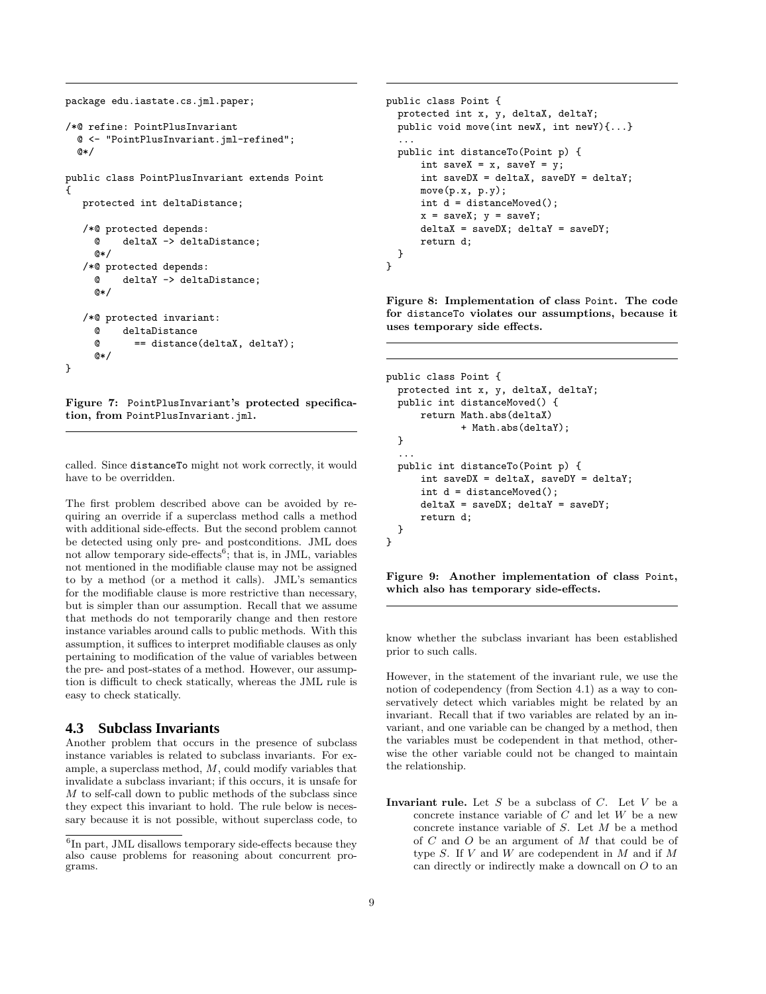```
package edu.iastate.cs.jml.paper;
/*@ refine: PointPlusInvariant
  @ <- "PointPlusInvariant.jml-refined";
  @*/
public class PointPlusInvariant extends Point
{
   protected int deltaDistance;
   /*@ protected depends:
     @ deltaX -> deltaDistance;
     @*/
   /*@ protected depends:
     @ deltaY -> deltaDistance;
     @*{}/{}/*@ protected invariant:<br>@ deltaDistance
          deltaDistance
     @ == distance(deltaX, deltaY);
     @*/
}
```
Figure 7: PointPlusInvariant's protected specification, from PointPlusInvariant.jml.

called. Since distanceTo might not work correctly, it would have to be overridden.

The first problem described above can be avoided by requiring an override if a superclass method calls a method with additional side-effects. But the second problem cannot be detected using only pre- and postconditions. JML does not allow temporary side-effects<sup>6</sup>; that is, in JML, variables not mentioned in the modifiable clause may not be assigned to by a method (or a method it calls). JML's semantics for the modifiable clause is more restrictive than necessary, but is simpler than our assumption. Recall that we assume that methods do not temporarily change and then restore instance variables around calls to public methods. With this assumption, it suffices to interpret modifiable clauses as only pertaining to modification of the value of variables between the pre- and post-states of a method. However, our assumption is difficult to check statically, whereas the JML rule is easy to check statically.

### **4.3 Subclass Invariants**

Another problem that occurs in the presence of subclass instance variables is related to subclass invariants. For example, a superclass method,  $M$ , could modify variables that invalidate a subclass invariant; if this occurs, it is unsafe for M to self-call down to public methods of the subclass since they expect this invariant to hold. The rule below is necessary because it is not possible, without superclass code, to

```
public class Point {
 protected int x, y, deltaX, deltaY;
 public void move(int newX, int newY){...}
  ...
 public int distanceTo(Point p) {
      int saveX = x, saveY = y;
      int saveDX = deltaX, saveDY = deltaY;
     move(p.x, p.y);int d = distanceMoved();
      x = saveX; y = saveY;
      delta X = saveDX; delta Y = saveDY;
      return d;
 }
}
```
Figure 8: Implementation of class Point. The code for distanceTo violates our assumptions, because it uses temporary side effects.

```
public class Point {
  protected int x, y, deltaX, deltaY;
 public int distanceMoved() {
      return Math.abs(deltaX)
             + Math.abs(deltaY);
 }
  ...
 public int distanceTo(Point p) {
      int saveDX = deltaX, saveDY = deltaY;
      int d = distanceMoved();
      delta X = saveDX; delta Y = saveDY;
      return d;
 }
}
```
Figure 9: Another implementation of class Point, which also has temporary side-effects.

know whether the subclass invariant has been established prior to such calls.

However, in the statement of the invariant rule, we use the notion of codependency (from Section 4.1) as a way to conservatively detect which variables might be related by an invariant. Recall that if two variables are related by an invariant, and one variable can be changed by a method, then the variables must be codependent in that method, otherwise the other variable could not be changed to maintain the relationship.

Invariant rule. Let  $S$  be a subclass of  $C$ . Let  $V$  be a concrete instance variable of  $C$  and let  $W$  be a new concrete instance variable of S. Let M be a method of C and O be an argument of M that could be of type  $S$ . If  $V$  and  $W$  are codependent in  $M$  and if  $M$ can directly or indirectly make a downcall on O to an

<sup>&</sup>lt;sup>6</sup>In part, JML disallows temporary side-effects because they also cause problems for reasoning about concurrent programs.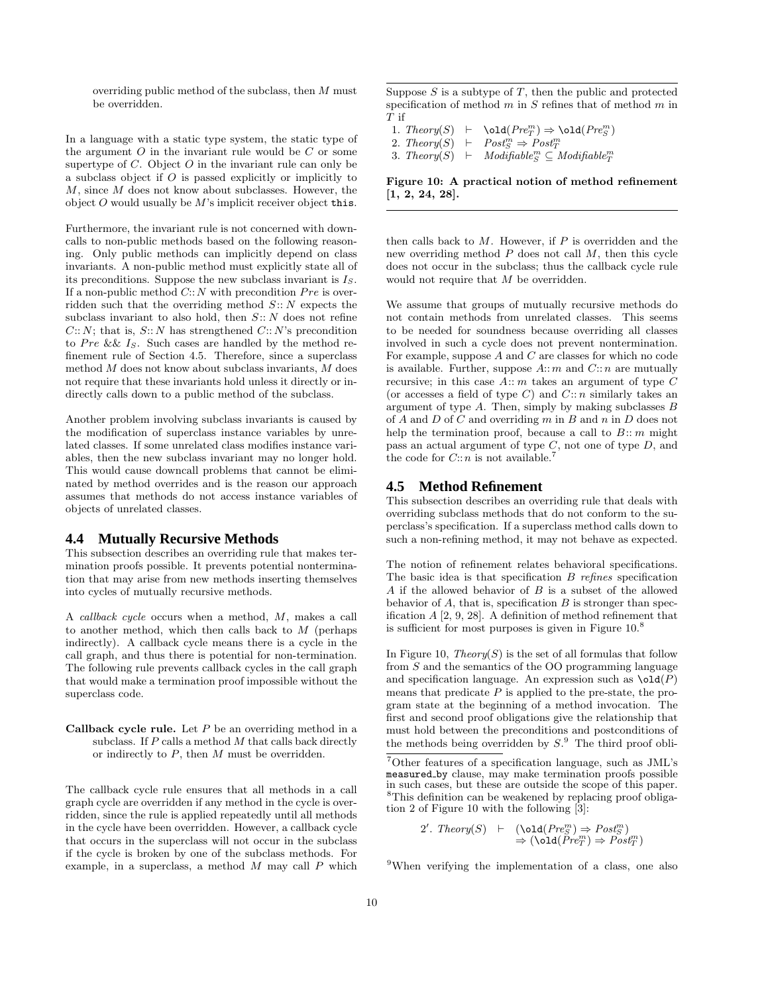overriding public method of the subclass, then M must be overridden.

In a language with a static type system, the static type of the argument  $O$  in the invariant rule would be  $C$  or some supertype of  $C$ . Object  $O$  in the invariant rule can only be a subclass object if O is passed explicitly or implicitly to  $M$ , since  $M$  does not know about subclasses. However, the object  $O$  would usually be  $M$ 's implicit receiver object this.

Furthermore, the invariant rule is not concerned with downcalls to non-public methods based on the following reasoning. Only public methods can implicitly depend on class invariants. A non-public method must explicitly state all of its preconditions. Suppose the new subclass invariant is  $I<sub>S</sub>$ . If a non-public method  $C::N$  with precondition  $Pre$  is overridden such that the overriding method  $S:: N$  expects the subclass invariant to also hold, then  $S:: N$  does not refine  $C:: N$ ; that is,  $S:: N$  has strengthened  $C:: N$ 's precondition to Pre &&  $I<sub>S</sub>$ . Such cases are handled by the method refinement rule of Section 4.5. Therefore, since a superclass method M does not know about subclass invariants, M does not require that these invariants hold unless it directly or indirectly calls down to a public method of the subclass.

Another problem involving subclass invariants is caused by the modification of superclass instance variables by unrelated classes. If some unrelated class modifies instance variables, then the new subclass invariant may no longer hold. This would cause downcall problems that cannot be eliminated by method overrides and is the reason our approach assumes that methods do not access instance variables of objects of unrelated classes.

#### **4.4 Mutually Recursive Methods**

This subsection describes an overriding rule that makes termination proofs possible. It prevents potential nontermination that may arise from new methods inserting themselves into cycles of mutually recursive methods.

A callback cycle occurs when a method, M, makes a call to another method, which then calls back to  $M$  (perhaps indirectly). A callback cycle means there is a cycle in the call graph, and thus there is potential for non-termination. The following rule prevents callback cycles in the call graph that would make a termination proof impossible without the superclass code.

Callback cycle rule. Let  $P$  be an overriding method in a subclass. If  $P$  calls a method  $M$  that calls back directly or indirectly to  $P$ , then  $M$  must be overridden.

The callback cycle rule ensures that all methods in a call graph cycle are overridden if any method in the cycle is overridden, since the rule is applied repeatedly until all methods in the cycle have been overridden. However, a callback cycle that occurs in the superclass will not occur in the subclass if the cycle is broken by one of the subclass methods. For example, in a superclass, a method  $M$  may call  $P$  which Suppose  $S$  is a subtype of  $T$ , then the public and protected specification of method  $m$  in  $S$  refines that of method  $m$  in  ${\cal T}$  if

1. Theory(S)  $\vdash$ <br>2. Theory(S)  $\vdash$  $T(T^m) \Rightarrow \text{val}(Pre^m_S)$ 2. Theory $(S)$  $s^m \Rightarrow Post^m_T$ 

3. Theory(S)  $\vdash$  Modifiable<sub>S</sub><sup>m</sup>  $\subseteq$  Modifiable<sub>T</sub><sup>m</sup>

Figure 10: A practical notion of method refinement [1, 2, 24, 28].

then calls back to  $M$ . However, if  $P$  is overridden and the new overriding method  $P$  does not call  $M$ , then this cycle does not occur in the subclass; thus the callback cycle rule would not require that  $M$  be overridden.

We assume that groups of mutually recursive methods do not contain methods from unrelated classes. This seems to be needed for soundness because overriding all classes involved in such a cycle does not prevent nontermination. For example, suppose A and C are classes for which no code is available. Further, suppose  $A::m$  and  $C::n$  are mutually recursive; in this case  $A$ :: m takes an argument of type  $C$ (or accesses a field of type  $C$ ) and  $C:: n$  similarly takes an argument of type  $A$ . Then, simply by making subclasses  $B$ of  $A$  and  $D$  of  $C$  and overriding  $m$  in  $B$  and  $n$  in  $D$  does not help the termination proof, because a call to  $B::m$  might pass an actual argument of type  $C$ , not one of type  $D$ , and the code for  $C::n$  is not available.<sup>7</sup>

#### **4.5 Method Refinement**

This subsection describes an overriding rule that deals with overriding subclass methods that do not conform to the superclass's specification. If a superclass method calls down to such a non-refining method, it may not behave as expected.

The notion of refinement relates behavioral specifications. The basic idea is that specification  $B$  refines specification A if the allowed behavior of B is a subset of the allowed behavior of A, that is, specification  $B$  is stronger than specification  $A$  [2, 9, 28]. A definition of method refinement that is sufficient for most purposes is given in Figure 10.<sup>8</sup>

In Figure 10,  $Theory(S)$  is the set of all formulas that follow from S and the semantics of the OO programming language and specification language. An expression such as  $\o{1d}(P)$ means that predicate  $P$  is applied to the pre-state, the program state at the beginning of a method invocation. The first and second proof obligations give the relationship that must hold between the preconditions and postconditions of the methods being overridden by  $S^9$ . The third proof obli-

```
2'. Theory(S) \vdash (\text{old}(Pre_S^m) \Rightarrow Post_S^m)\Rightarrow (\sqrt{\texttt{old}(Pre^m_T)} \Rightarrow Pos^m_T)
```
<sup>9</sup>When verifying the implementation of a class, one also

<sup>7</sup>Other features of a specification language, such as JML's measured by clause, may make termination proofs possible in such cases, but these are outside the scope of this paper. <sup>8</sup>This definition can be weakened by replacing proof obligation 2 of Figure 10 with the following [3]: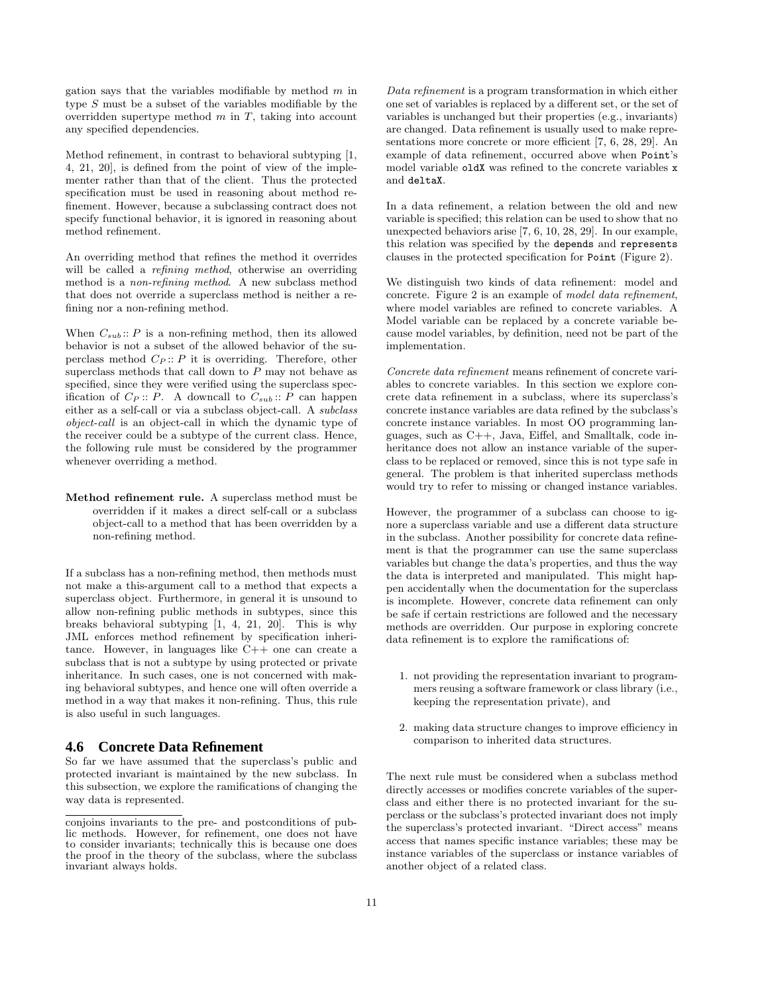gation says that the variables modifiable by method  $m$  in type  $S$  must be a subset of the variables modifiable by the overridden supertype method  $m$  in  $T$ , taking into account any specified dependencies.

Method refinement, in contrast to behavioral subtyping [1, 4, 21, 20], is defined from the point of view of the implementer rather than that of the client. Thus the protected specification must be used in reasoning about method refinement. However, because a subclassing contract does not specify functional behavior, it is ignored in reasoning about method refinement.

An overriding method that refines the method it overrides will be called a *refining method*, otherwise an overriding method is a non-refining method. A new subclass method that does not override a superclass method is neither a refining nor a non-refining method.

When  $C_{sub}$ :: P is a non-refining method, then its allowed behavior is not a subset of the allowed behavior of the superclass method  $C_P$ :: P it is overriding. Therefore, other superclass methods that call down to  $P$  may not behave as specified, since they were verified using the superclass specification of  $C_P$ : P. A downcall to  $C_{sub}$ : P can happen either as a self-call or via a subclass object-call. A subclass object-call is an object-call in which the dynamic type of the receiver could be a subtype of the current class. Hence, the following rule must be considered by the programmer whenever overriding a method.

Method refinement rule. A superclass method must be overridden if it makes a direct self-call or a subclass object-call to a method that has been overridden by a non-refining method.

If a subclass has a non-refining method, then methods must not make a this-argument call to a method that expects a superclass object. Furthermore, in general it is unsound to allow non-refining public methods in subtypes, since this breaks behavioral subtyping [1, 4, 21, 20]. This is why JML enforces method refinement by specification inheritance. However, in languages like C++ one can create a subclass that is not a subtype by using protected or private inheritance. In such cases, one is not concerned with making behavioral subtypes, and hence one will often override a method in a way that makes it non-refining. Thus, this rule is also useful in such languages.

## **4.6 Concrete Data Refinement**

So far we have assumed that the superclass's public and protected invariant is maintained by the new subclass. In this subsection, we explore the ramifications of changing the way data is represented.

Data refinement is a program transformation in which either one set of variables is replaced by a different set, or the set of variables is unchanged but their properties (e.g., invariants) are changed. Data refinement is usually used to make representations more concrete or more efficient [7, 6, 28, 29]. An example of data refinement, occurred above when Point's model variable oldX was refined to the concrete variables x and deltaX.

In a data refinement, a relation between the old and new variable is specified; this relation can be used to show that no unexpected behaviors arise [7, 6, 10, 28, 29]. In our example, this relation was specified by the depends and represents clauses in the protected specification for Point (Figure 2).

We distinguish two kinds of data refinement: model and concrete. Figure 2 is an example of model data refinement, where model variables are refined to concrete variables. A Model variable can be replaced by a concrete variable because model variables, by definition, need not be part of the implementation.

Concrete data refinement means refinement of concrete variables to concrete variables. In this section we explore concrete data refinement in a subclass, where its superclass's concrete instance variables are data refined by the subclass's concrete instance variables. In most OO programming languages, such as C++, Java, Eiffel, and Smalltalk, code inheritance does not allow an instance variable of the superclass to be replaced or removed, since this is not type safe in general. The problem is that inherited superclass methods would try to refer to missing or changed instance variables.

However, the programmer of a subclass can choose to ignore a superclass variable and use a different data structure in the subclass. Another possibility for concrete data refinement is that the programmer can use the same superclass variables but change the data's properties, and thus the way the data is interpreted and manipulated. This might happen accidentally when the documentation for the superclass is incomplete. However, concrete data refinement can only be safe if certain restrictions are followed and the necessary methods are overridden. Our purpose in exploring concrete data refinement is to explore the ramifications of:

- 1. not providing the representation invariant to programmers reusing a software framework or class library (i.e., keeping the representation private), and
- 2. making data structure changes to improve efficiency in comparison to inherited data structures.

The next rule must be considered when a subclass method directly accesses or modifies concrete variables of the superclass and either there is no protected invariant for the superclass or the subclass's protected invariant does not imply the superclass's protected invariant. "Direct access" means access that names specific instance variables; these may be instance variables of the superclass or instance variables of another object of a related class.

conjoins invariants to the pre- and postconditions of public methods. However, for refinement, one does not have to consider invariants; technically this is because one does the proof in the theory of the subclass, where the subclass invariant always holds.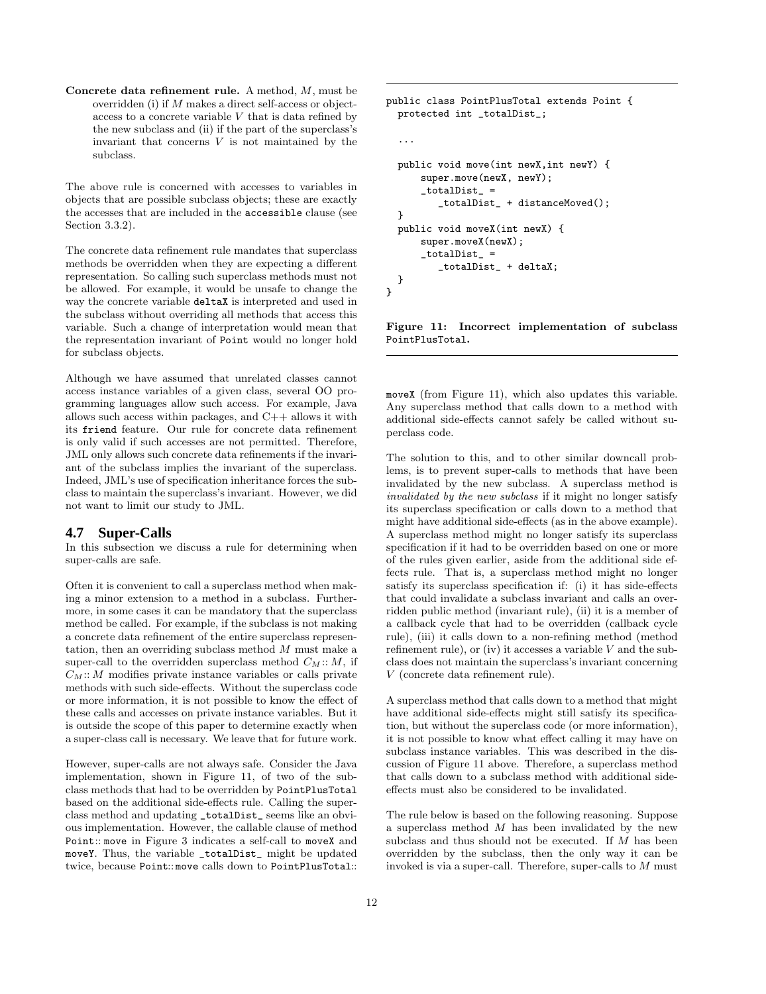Concrete data refinement rule. A method,  $M$ , must be overridden (i) if M makes a direct self-access or objectaccess to a concrete variable  $V$  that is data refined by the new subclass and (ii) if the part of the superclass's invariant that concerns  $V$  is not maintained by the subclass.

The above rule is concerned with accesses to variables in objects that are possible subclass objects; these are exactly the accesses that are included in the accessible clause (see Section 3.3.2).

The concrete data refinement rule mandates that superclass methods be overridden when they are expecting a different representation. So calling such superclass methods must not be allowed. For example, it would be unsafe to change the way the concrete variable deltaX is interpreted and used in the subclass without overriding all methods that access this variable. Such a change of interpretation would mean that the representation invariant of Point would no longer hold for subclass objects.

Although we have assumed that unrelated classes cannot access instance variables of a given class, several OO programming languages allow such access. For example, Java allows such access within packages, and  $C++$  allows it with its friend feature. Our rule for concrete data refinement is only valid if such accesses are not permitted. Therefore, JML only allows such concrete data refinements if the invariant of the subclass implies the invariant of the superclass. Indeed, JML's use of specification inheritance forces the subclass to maintain the superclass's invariant. However, we did not want to limit our study to JML.

## **4.7 Super-Calls**

In this subsection we discuss a rule for determining when super-calls are safe.

Often it is convenient to call a superclass method when making a minor extension to a method in a subclass. Furthermore, in some cases it can be mandatory that the superclass method be called. For example, if the subclass is not making a concrete data refinement of the entire superclass representation, then an overriding subclass method M must make a super-call to the overridden superclass method  $C_M: M$ , if  $C_M: M$  modifies private instance variables or calls private methods with such side-effects. Without the superclass code or more information, it is not possible to know the effect of these calls and accesses on private instance variables. But it is outside the scope of this paper to determine exactly when a super-class call is necessary. We leave that for future work.

However, super-calls are not always safe. Consider the Java implementation, shown in Figure 11, of two of the subclass methods that had to be overridden by PointPlusTotal based on the additional side-effects rule. Calling the superclass method and updating totalDist seems like an obvious implementation. However, the callable clause of method Point:: move in Figure 3 indicates a self-call to moveX and moveY. Thus, the variable \_totalDist\_ might be updated twice, because Point::move calls down to PointPlusTotal:: public class PointPlusTotal extends Point { protected int \_totalDist\_;

...

```
public void move(int newX,int newY) {
      super.move(newX, newY);
      _ totalDist_ =
         _totalDist_ + distanceMoved();
  }
  public void moveX(int newX) {
      super.moveX(newX);
      _totalDist_ =
         _totalDist_ + deltaX;
 }
}
```
Figure 11: Incorrect implementation of subclass PointPlusTotal.

moveX (from Figure 11), which also updates this variable. Any superclass method that calls down to a method with additional side-effects cannot safely be called without superclass code.

The solution to this, and to other similar downcall problems, is to prevent super-calls to methods that have been invalidated by the new subclass. A superclass method is invalidated by the new subclass if it might no longer satisfy its superclass specification or calls down to a method that might have additional side-effects (as in the above example). A superclass method might no longer satisfy its superclass specification if it had to be overridden based on one or more of the rules given earlier, aside from the additional side effects rule. That is, a superclass method might no longer satisfy its superclass specification if: (i) it has side-effects that could invalidate a subclass invariant and calls an overridden public method (invariant rule), (ii) it is a member of a callback cycle that had to be overridden (callback cycle rule), (iii) it calls down to a non-refining method (method refinement rule), or (iv) it accesses a variable  $V$  and the subclass does not maintain the superclass's invariant concerning V (concrete data refinement rule).

A superclass method that calls down to a method that might have additional side-effects might still satisfy its specification, but without the superclass code (or more information), it is not possible to know what effect calling it may have on subclass instance variables. This was described in the discussion of Figure 11 above. Therefore, a superclass method that calls down to a subclass method with additional sideeffects must also be considered to be invalidated.

The rule below is based on the following reasoning. Suppose a superclass method  $M$  has been invalidated by the new subclass and thus should not be executed. If M has been overridden by the subclass, then the only way it can be invoked is via a super-call. Therefore, super-calls to M must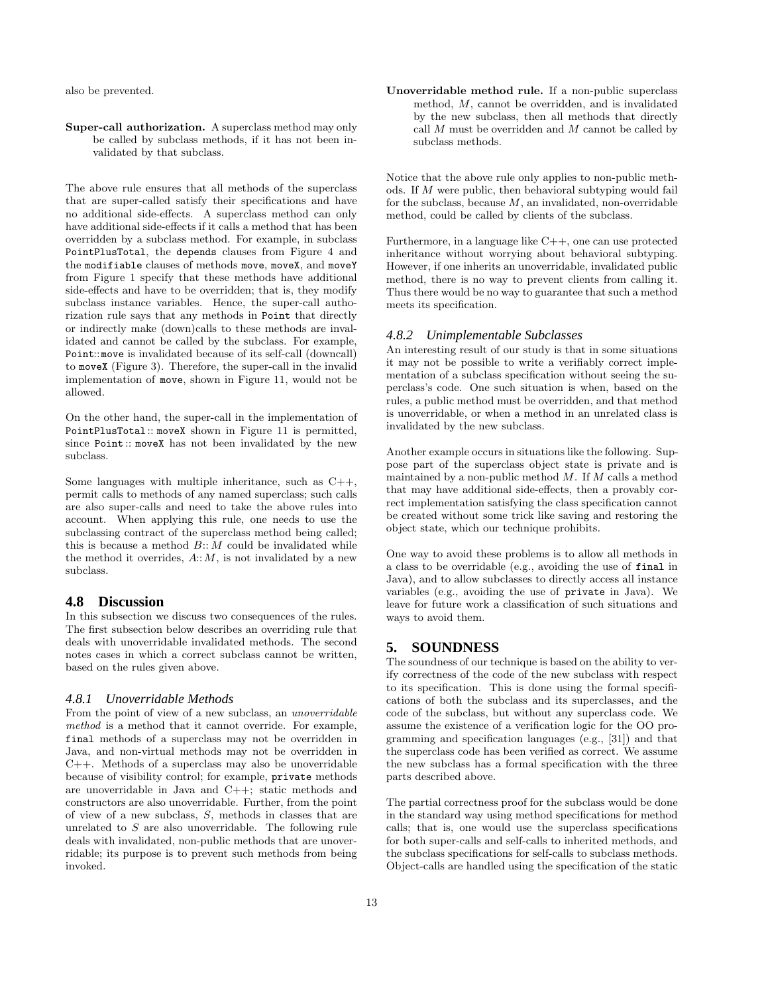also be prevented.

Super-call authorization. A superclass method may only be called by subclass methods, if it has not been invalidated by that subclass.

The above rule ensures that all methods of the superclass that are super-called satisfy their specifications and have no additional side-effects. A superclass method can only have additional side-effects if it calls a method that has been overridden by a subclass method. For example, in subclass PointPlusTotal, the depends clauses from Figure 4 and the modifiable clauses of methods move, moveX, and moveY from Figure 1 specify that these methods have additional side-effects and have to be overridden; that is, they modify subclass instance variables. Hence, the super-call authorization rule says that any methods in Point that directly or indirectly make (down)calls to these methods are invalidated and cannot be called by the subclass. For example, Point::move is invalidated because of its self-call (downcall) to moveX (Figure 3). Therefore, the super-call in the invalid implementation of move, shown in Figure 11, would not be allowed.

On the other hand, the super-call in the implementation of PointPlusTotal:: moveX shown in Figure 11 is permitted, since Point: moveX has not been invalidated by the new subclass.

Some languages with multiple inheritance, such as C++, permit calls to methods of any named superclass; such calls are also super-calls and need to take the above rules into account. When applying this rule, one needs to use the subclassing contract of the superclass method being called; this is because a method  $B: M$  could be invalidated while the method it overrides,  $A: M$ , is not invalidated by a new subclass.

#### **4.8 Discussion**

In this subsection we discuss two consequences of the rules. The first subsection below describes an overriding rule that deals with unoverridable invalidated methods. The second notes cases in which a correct subclass cannot be written, based on the rules given above.

#### *4.8.1 Unoverridable Methods*

From the point of view of a new subclass, an unoverridable method is a method that it cannot override. For example, final methods of a superclass may not be overridden in Java, and non-virtual methods may not be overridden in C++. Methods of a superclass may also be unoverridable because of visibility control; for example, private methods are unoverridable in Java and C++; static methods and constructors are also unoverridable. Further, from the point of view of a new subclass, S, methods in classes that are unrelated to  $S$  are also unoverridable. The following rule deals with invalidated, non-public methods that are unoverridable; its purpose is to prevent such methods from being invoked.

Unoverridable method rule. If a non-public superclass method, M, cannot be overridden, and is invalidated by the new subclass, then all methods that directly call M must be overridden and M cannot be called by subclass methods.

Notice that the above rule only applies to non-public methods. If M were public, then behavioral subtyping would fail for the subclass, because  $M$ , an invalidated, non-overridable method, could be called by clients of the subclass.

Furthermore, in a language like  $C++$ , one can use protected inheritance without worrying about behavioral subtyping. However, if one inherits an unoverridable, invalidated public method, there is no way to prevent clients from calling it. Thus there would be no way to guarantee that such a method meets its specification.

#### *4.8.2 Unimplementable Subclasses*

An interesting result of our study is that in some situations it may not be possible to write a verifiably correct implementation of a subclass specification without seeing the superclass's code. One such situation is when, based on the rules, a public method must be overridden, and that method is unoverridable, or when a method in an unrelated class is invalidated by the new subclass.

Another example occurs in situations like the following. Suppose part of the superclass object state is private and is maintained by a non-public method  $M$ . If  $M$  calls a method that may have additional side-effects, then a provably correct implementation satisfying the class specification cannot be created without some trick like saving and restoring the object state, which our technique prohibits.

One way to avoid these problems is to allow all methods in a class to be overridable (e.g., avoiding the use of final in Java), and to allow subclasses to directly access all instance variables (e.g., avoiding the use of private in Java). We leave for future work a classification of such situations and ways to avoid them.

#### **5. SOUNDNESS**

The soundness of our technique is based on the ability to verify correctness of the code of the new subclass with respect to its specification. This is done using the formal specifications of both the subclass and its superclasses, and the code of the subclass, but without any superclass code. We assume the existence of a verification logic for the OO programming and specification languages (e.g., [31]) and that the superclass code has been verified as correct. We assume the new subclass has a formal specification with the three parts described above.

The partial correctness proof for the subclass would be done in the standard way using method specifications for method calls; that is, one would use the superclass specifications for both super-calls and self-calls to inherited methods, and the subclass specifications for self-calls to subclass methods. Object-calls are handled using the specification of the static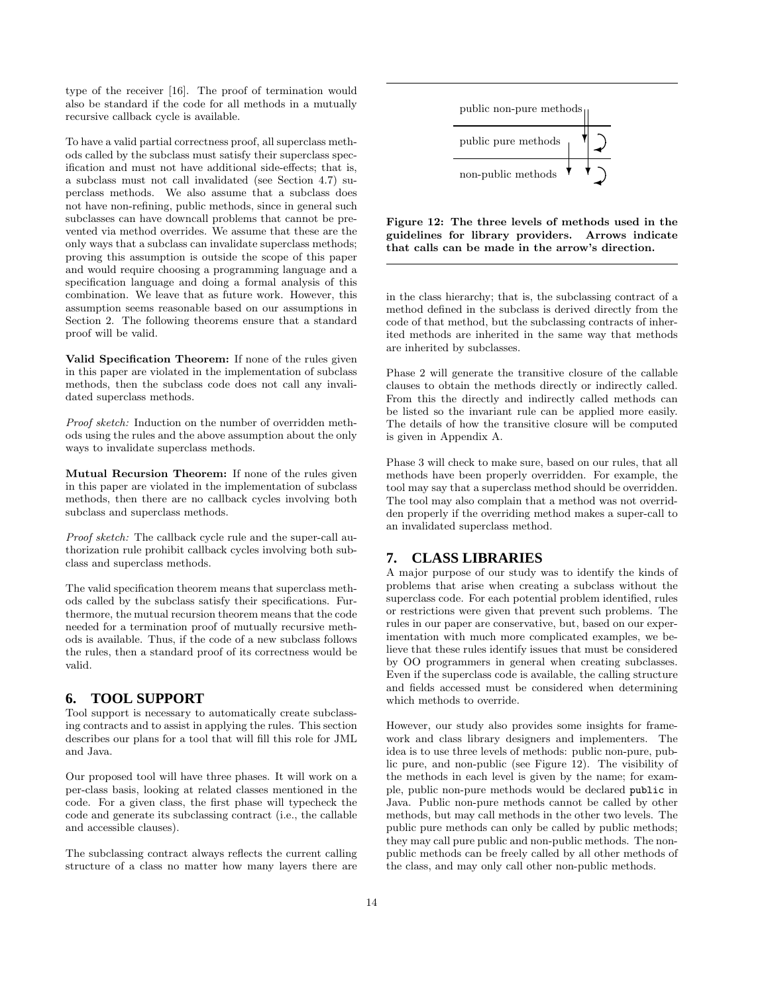type of the receiver [16]. The proof of termination would also be standard if the code for all methods in a mutually recursive callback cycle is available.

To have a valid partial correctness proof, all superclass methods called by the subclass must satisfy their superclass specification and must not have additional side-effects; that is, a subclass must not call invalidated (see Section 4.7) superclass methods. We also assume that a subclass does not have non-refining, public methods, since in general such subclasses can have downcall problems that cannot be prevented via method overrides. We assume that these are the only ways that a subclass can invalidate superclass methods; proving this assumption is outside the scope of this paper and would require choosing a programming language and a specification language and doing a formal analysis of this combination. We leave that as future work. However, this assumption seems reasonable based on our assumptions in Section 2. The following theorems ensure that a standard proof will be valid.

Valid Specification Theorem: If none of the rules given in this paper are violated in the implementation of subclass methods, then the subclass code does not call any invalidated superclass methods.

Proof sketch: Induction on the number of overridden methods using the rules and the above assumption about the only ways to invalidate superclass methods.

Mutual Recursion Theorem: If none of the rules given in this paper are violated in the implementation of subclass methods, then there are no callback cycles involving both subclass and superclass methods.

Proof sketch: The callback cycle rule and the super-call authorization rule prohibit callback cycles involving both subclass and superclass methods.

The valid specification theorem means that superclass methods called by the subclass satisfy their specifications. Furthermore, the mutual recursion theorem means that the code needed for a termination proof of mutually recursive methods is available. Thus, if the code of a new subclass follows the rules, then a standard proof of its correctness would be valid.

## **6. TOOL SUPPORT**

Tool support is necessary to automatically create subclassing contracts and to assist in applying the rules. This section describes our plans for a tool that will fill this role for JML and Java.

Our proposed tool will have three phases. It will work on a per-class basis, looking at related classes mentioned in the code. For a given class, the first phase will typecheck the code and generate its subclassing contract (i.e., the callable and accessible clauses).

The subclassing contract always reflects the current calling structure of a class no matter how many layers there are



Figure 12: The three levels of methods used in the guidelines for library providers. Arrows indicate that calls can be made in the arrow's direction.

in the class hierarchy; that is, the subclassing contract of a method defined in the subclass is derived directly from the code of that method, but the subclassing contracts of inherited methods are inherited in the same way that methods are inherited by subclasses.

Phase 2 will generate the transitive closure of the callable clauses to obtain the methods directly or indirectly called. From this the directly and indirectly called methods can be listed so the invariant rule can be applied more easily. The details of how the transitive closure will be computed is given in Appendix A.

Phase 3 will check to make sure, based on our rules, that all methods have been properly overridden. For example, the tool may say that a superclass method should be overridden. The tool may also complain that a method was not overridden properly if the overriding method makes a super-call to an invalidated superclass method.

## **7. CLASS LIBRARIES**

A major purpose of our study was to identify the kinds of problems that arise when creating a subclass without the superclass code. For each potential problem identified, rules or restrictions were given that prevent such problems. The rules in our paper are conservative, but, based on our experimentation with much more complicated examples, we believe that these rules identify issues that must be considered by OO programmers in general when creating subclasses. Even if the superclass code is available, the calling structure and fields accessed must be considered when determining which methods to override.

However, our study also provides some insights for framework and class library designers and implementers. The idea is to use three levels of methods: public non-pure, public pure, and non-public (see Figure 12). The visibility of the methods in each level is given by the name; for example, public non-pure methods would be declared public in Java. Public non-pure methods cannot be called by other methods, but may call methods in the other two levels. The public pure methods can only be called by public methods; they may call pure public and non-public methods. The nonpublic methods can be freely called by all other methods of the class, and may only call other non-public methods.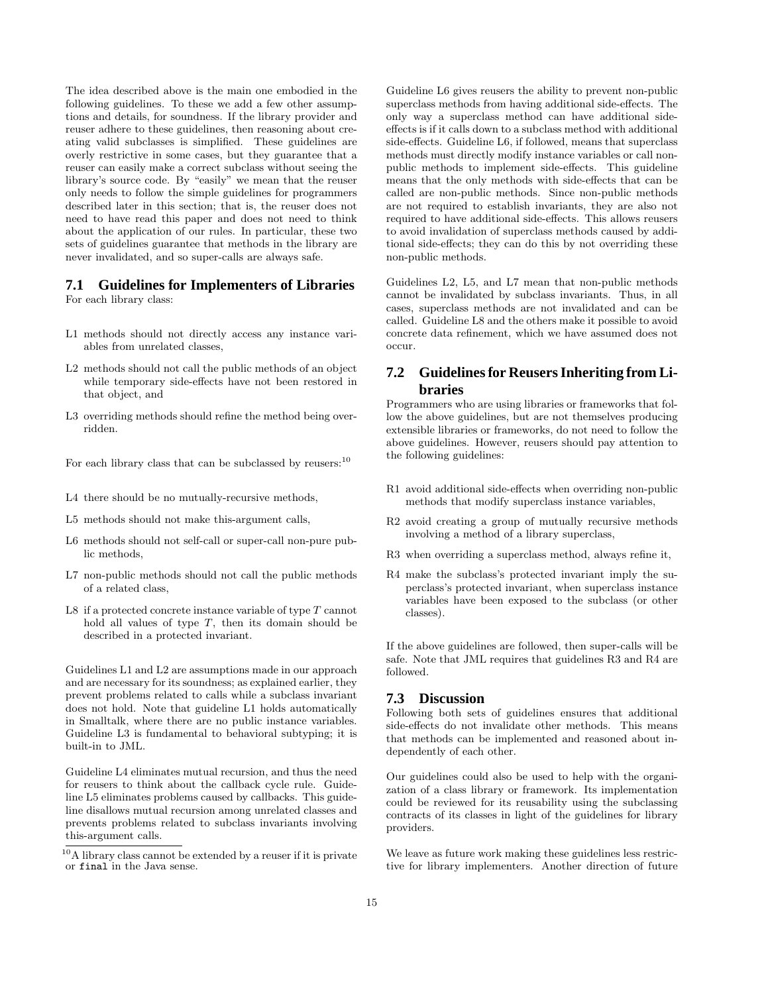The idea described above is the main one embodied in the following guidelines. To these we add a few other assumptions and details, for soundness. If the library provider and reuser adhere to these guidelines, then reasoning about creating valid subclasses is simplified. These guidelines are overly restrictive in some cases, but they guarantee that a reuser can easily make a correct subclass without seeing the library's source code. By "easily" we mean that the reuser only needs to follow the simple guidelines for programmers described later in this section; that is, the reuser does not need to have read this paper and does not need to think about the application of our rules. In particular, these two sets of guidelines guarantee that methods in the library are never invalidated, and so super-calls are always safe.

## **7.1 Guidelines for Implementers of Libraries**

For each library class:

- L1 methods should not directly access any instance variables from unrelated classes,
- L2 methods should not call the public methods of an object while temporary side-effects have not been restored in that object, and
- L3 overriding methods should refine the method being overridden.
- For each library class that can be subclassed by reusers:  $10$
- L<sub>4</sub> there should be no mutually-recursive methods,
- L5 methods should not make this-argument calls,
- L6 methods should not self-call or super-call non-pure public methods,
- L7 non-public methods should not call the public methods of a related class,
- L8 if a protected concrete instance variable of type T cannot hold all values of type  $T$ , then its domain should be described in a protected invariant.

Guidelines L1 and L2 are assumptions made in our approach and are necessary for its soundness; as explained earlier, they prevent problems related to calls while a subclass invariant does not hold. Note that guideline L1 holds automatically in Smalltalk, where there are no public instance variables. Guideline L3 is fundamental to behavioral subtyping; it is built-in to JML.

Guideline L4 eliminates mutual recursion, and thus the need for reusers to think about the callback cycle rule. Guideline L5 eliminates problems caused by callbacks. This guideline disallows mutual recursion among unrelated classes and prevents problems related to subclass invariants involving this-argument calls.

Guideline L6 gives reusers the ability to prevent non-public superclass methods from having additional side-effects. The only way a superclass method can have additional sideeffects is if it calls down to a subclass method with additional side-effects. Guideline L6, if followed, means that superclass methods must directly modify instance variables or call nonpublic methods to implement side-effects. This guideline means that the only methods with side-effects that can be called are non-public methods. Since non-public methods are not required to establish invariants, they are also not required to have additional side-effects. This allows reusers to avoid invalidation of superclass methods caused by additional side-effects; they can do this by not overriding these non-public methods.

Guidelines L2, L5, and L7 mean that non-public methods cannot be invalidated by subclass invariants. Thus, in all cases, superclass methods are not invalidated and can be called. Guideline L8 and the others make it possible to avoid concrete data refinement, which we have assumed does not occur.

## **7.2 Guidelines for Reusers Inheriting from Libraries**

Programmers who are using libraries or frameworks that follow the above guidelines, but are not themselves producing extensible libraries or frameworks, do not need to follow the above guidelines. However, reusers should pay attention to the following guidelines:

- R1 avoid additional side-effects when overriding non-public methods that modify superclass instance variables,
- R2 avoid creating a group of mutually recursive methods involving a method of a library superclass,
- R3 when overriding a superclass method, always refine it,
- R4 make the subclass's protected invariant imply the superclass's protected invariant, when superclass instance variables have been exposed to the subclass (or other classes).

If the above guidelines are followed, then super-calls will be safe. Note that JML requires that guidelines R3 and R4 are followed.

#### **7.3 Discussion**

Following both sets of guidelines ensures that additional side-effects do not invalidate other methods. This means that methods can be implemented and reasoned about independently of each other.

Our guidelines could also be used to help with the organization of a class library or framework. Its implementation could be reviewed for its reusability using the subclassing contracts of its classes in light of the guidelines for library providers.

We leave as future work making these guidelines less restrictive for library implementers. Another direction of future

<sup>10</sup>A library class cannot be extended by a reuser if it is private or final in the Java sense.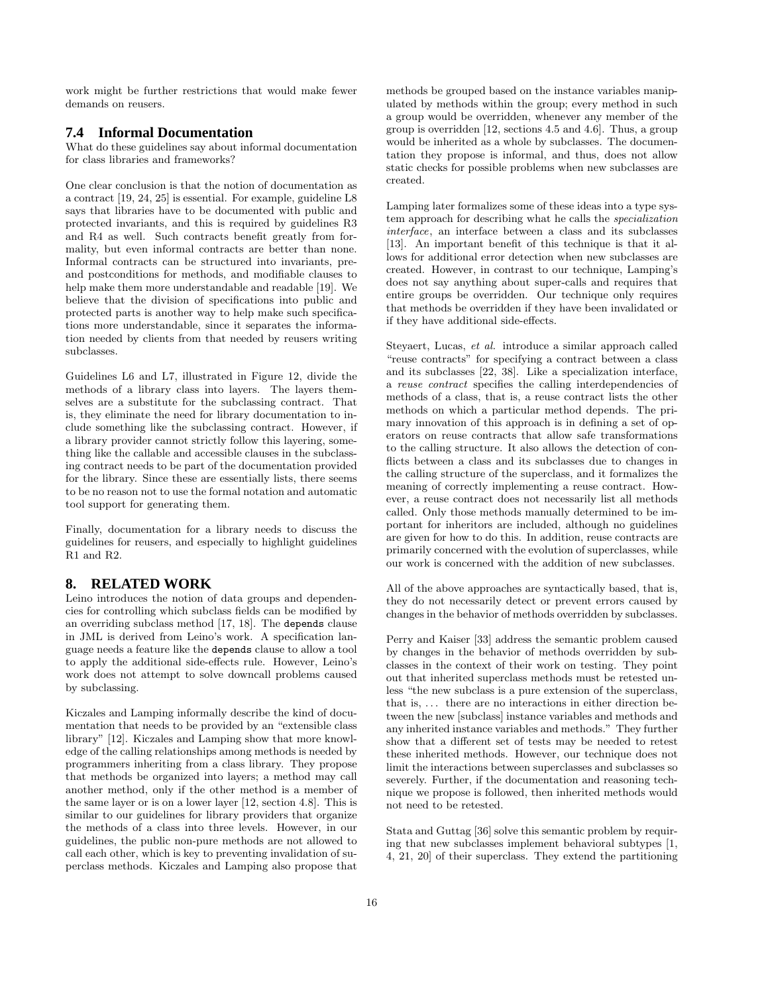work might be further restrictions that would make fewer demands on reusers.

### **7.4 Informal Documentation**

What do these guidelines say about informal documentation for class libraries and frameworks?

One clear conclusion is that the notion of documentation as a contract [19, 24, 25] is essential. For example, guideline L8 says that libraries have to be documented with public and protected invariants, and this is required by guidelines R3 and R4 as well. Such contracts benefit greatly from formality, but even informal contracts are better than none. Informal contracts can be structured into invariants, preand postconditions for methods, and modifiable clauses to help make them more understandable and readable [19]. We believe that the division of specifications into public and protected parts is another way to help make such specifications more understandable, since it separates the information needed by clients from that needed by reusers writing subclasses.

Guidelines L6 and L7, illustrated in Figure 12, divide the methods of a library class into layers. The layers themselves are a substitute for the subclassing contract. That is, they eliminate the need for library documentation to include something like the subclassing contract. However, if a library provider cannot strictly follow this layering, something like the callable and accessible clauses in the subclassing contract needs to be part of the documentation provided for the library. Since these are essentially lists, there seems to be no reason not to use the formal notation and automatic tool support for generating them.

Finally, documentation for a library needs to discuss the guidelines for reusers, and especially to highlight guidelines R1 and R2.

#### **8. RELATED WORK**

Leino introduces the notion of data groups and dependencies for controlling which subclass fields can be modified by an overriding subclass method [17, 18]. The depends clause in JML is derived from Leino's work. A specification language needs a feature like the depends clause to allow a tool to apply the additional side-effects rule. However, Leino's work does not attempt to solve downcall problems caused by subclassing.

Kiczales and Lamping informally describe the kind of documentation that needs to be provided by an "extensible class library" [12]. Kiczales and Lamping show that more knowledge of the calling relationships among methods is needed by programmers inheriting from a class library. They propose that methods be organized into layers; a method may call another method, only if the other method is a member of the same layer or is on a lower layer [12, section 4.8]. This is similar to our guidelines for library providers that organize the methods of a class into three levels. However, in our guidelines, the public non-pure methods are not allowed to call each other, which is key to preventing invalidation of superclass methods. Kiczales and Lamping also propose that methods be grouped based on the instance variables manipulated by methods within the group; every method in such a group would be overridden, whenever any member of the group is overridden [12, sections 4.5 and 4.6]. Thus, a group would be inherited as a whole by subclasses. The documentation they propose is informal, and thus, does not allow static checks for possible problems when new subclasses are created.

Lamping later formalizes some of these ideas into a type system approach for describing what he calls the specialization interface, an interface between a class and its subclasses [13]. An important benefit of this technique is that it allows for additional error detection when new subclasses are created. However, in contrast to our technique, Lamping's does not say anything about super-calls and requires that entire groups be overridden. Our technique only requires that methods be overridden if they have been invalidated or if they have additional side-effects.

Steyaert, Lucas, et al. introduce a similar approach called "reuse contracts" for specifying a contract between a class and its subclasses [22, 38]. Like a specialization interface, a reuse contract specifies the calling interdependencies of methods of a class, that is, a reuse contract lists the other methods on which a particular method depends. The primary innovation of this approach is in defining a set of operators on reuse contracts that allow safe transformations to the calling structure. It also allows the detection of conflicts between a class and its subclasses due to changes in the calling structure of the superclass, and it formalizes the meaning of correctly implementing a reuse contract. However, a reuse contract does not necessarily list all methods called. Only those methods manually determined to be important for inheritors are included, although no guidelines are given for how to do this. In addition, reuse contracts are primarily concerned with the evolution of superclasses, while our work is concerned with the addition of new subclasses.

All of the above approaches are syntactically based, that is, they do not necessarily detect or prevent errors caused by changes in the behavior of methods overridden by subclasses.

Perry and Kaiser [33] address the semantic problem caused by changes in the behavior of methods overridden by subclasses in the context of their work on testing. They point out that inherited superclass methods must be retested unless "the new subclass is a pure extension of the superclass, that is,  $\dots$  there are no interactions in either direction between the new [subclass] instance variables and methods and any inherited instance variables and methods." They further show that a different set of tests may be needed to retest these inherited methods. However, our technique does not limit the interactions between superclasses and subclasses so severely. Further, if the documentation and reasoning technique we propose is followed, then inherited methods would not need to be retested.

Stata and Guttag [36] solve this semantic problem by requiring that new subclasses implement behavioral subtypes [1, 4, 21, 20] of their superclass. They extend the partitioning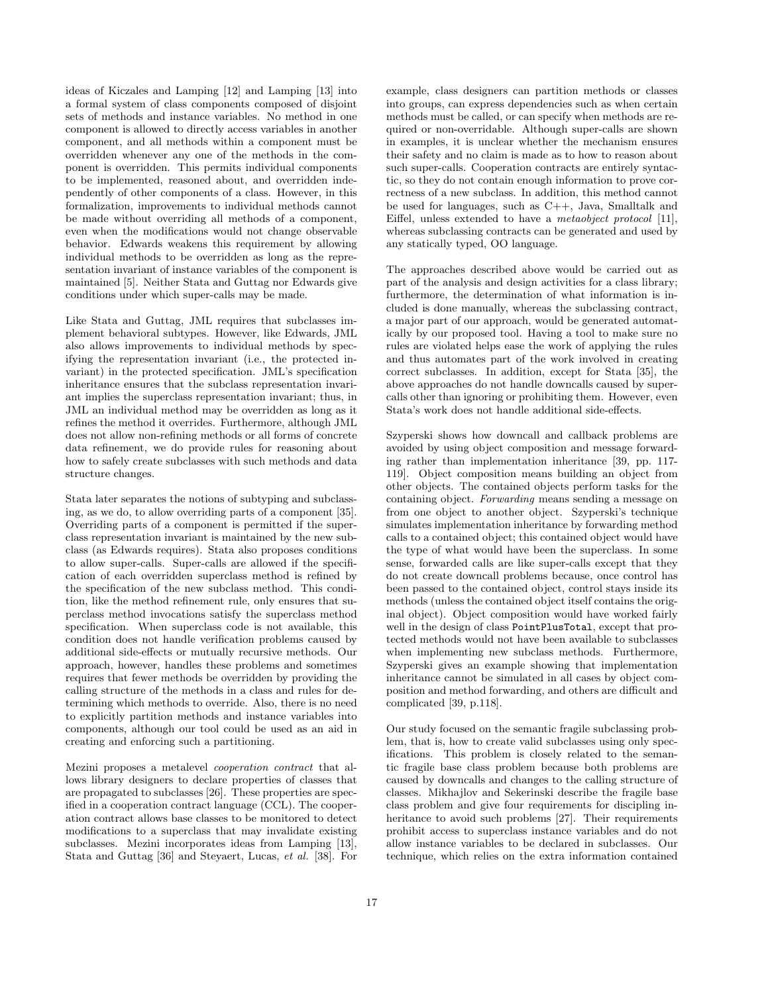ideas of Kiczales and Lamping [12] and Lamping [13] into a formal system of class components composed of disjoint sets of methods and instance variables. No method in one component is allowed to directly access variables in another component, and all methods within a component must be overridden whenever any one of the methods in the component is overridden. This permits individual components to be implemented, reasoned about, and overridden independently of other components of a class. However, in this formalization, improvements to individual methods cannot be made without overriding all methods of a component, even when the modifications would not change observable behavior. Edwards weakens this requirement by allowing individual methods to be overridden as long as the representation invariant of instance variables of the component is maintained [5]. Neither Stata and Guttag nor Edwards give conditions under which super-calls may be made.

Like Stata and Guttag, JML requires that subclasses implement behavioral subtypes. However, like Edwards, JML also allows improvements to individual methods by specifying the representation invariant (i.e., the protected invariant) in the protected specification. JML's specification inheritance ensures that the subclass representation invariant implies the superclass representation invariant; thus, in JML an individual method may be overridden as long as it refines the method it overrides. Furthermore, although JML does not allow non-refining methods or all forms of concrete data refinement, we do provide rules for reasoning about how to safely create subclasses with such methods and data structure changes.

Stata later separates the notions of subtyping and subclassing, as we do, to allow overriding parts of a component [35]. Overriding parts of a component is permitted if the superclass representation invariant is maintained by the new subclass (as Edwards requires). Stata also proposes conditions to allow super-calls. Super-calls are allowed if the specification of each overridden superclass method is refined by the specification of the new subclass method. This condition, like the method refinement rule, only ensures that superclass method invocations satisfy the superclass method specification. When superclass code is not available, this condition does not handle verification problems caused by additional side-effects or mutually recursive methods. Our approach, however, handles these problems and sometimes requires that fewer methods be overridden by providing the calling structure of the methods in a class and rules for determining which methods to override. Also, there is no need to explicitly partition methods and instance variables into components, although our tool could be used as an aid in creating and enforcing such a partitioning.

Mezini proposes a metalevel cooperation contract that allows library designers to declare properties of classes that are propagated to subclasses [26]. These properties are specified in a cooperation contract language (CCL). The cooperation contract allows base classes to be monitored to detect modifications to a superclass that may invalidate existing subclasses. Mezini incorporates ideas from Lamping [13], Stata and Guttag [36] and Steyaert, Lucas, et al. [38]. For example, class designers can partition methods or classes into groups, can express dependencies such as when certain methods must be called, or can specify when methods are required or non-overridable. Although super-calls are shown in examples, it is unclear whether the mechanism ensures their safety and no claim is made as to how to reason about such super-calls. Cooperation contracts are entirely syntactic, so they do not contain enough information to prove correctness of a new subclass. In addition, this method cannot be used for languages, such as C++, Java, Smalltalk and Eiffel, unless extended to have a *metaobject protocol* [11], whereas subclassing contracts can be generated and used by any statically typed, OO language.

The approaches described above would be carried out as part of the analysis and design activities for a class library; furthermore, the determination of what information is included is done manually, whereas the subclassing contract, a major part of our approach, would be generated automatically by our proposed tool. Having a tool to make sure no rules are violated helps ease the work of applying the rules and thus automates part of the work involved in creating correct subclasses. In addition, except for Stata [35], the above approaches do not handle downcalls caused by supercalls other than ignoring or prohibiting them. However, even Stata's work does not handle additional side-effects.

Szyperski shows how downcall and callback problems are avoided by using object composition and message forwarding rather than implementation inheritance [39, pp. 117- 119]. Object composition means building an object from other objects. The contained objects perform tasks for the containing object. Forwarding means sending a message on from one object to another object. Szyperski's technique simulates implementation inheritance by forwarding method calls to a contained object; this contained object would have the type of what would have been the superclass. In some sense, forwarded calls are like super-calls except that they do not create downcall problems because, once control has been passed to the contained object, control stays inside its methods (unless the contained object itself contains the original object). Object composition would have worked fairly well in the design of class PointPlusTotal, except that protected methods would not have been available to subclasses when implementing new subclass methods. Furthermore, Szyperski gives an example showing that implementation inheritance cannot be simulated in all cases by object composition and method forwarding, and others are difficult and complicated [39, p.118].

Our study focused on the semantic fragile subclassing problem, that is, how to create valid subclasses using only specifications. This problem is closely related to the semantic fragile base class problem because both problems are caused by downcalls and changes to the calling structure of classes. Mikhajlov and Sekerinski describe the fragile base class problem and give four requirements for discipling inheritance to avoid such problems [27]. Their requirements prohibit access to superclass instance variables and do not allow instance variables to be declared in subclasses. Our technique, which relies on the extra information contained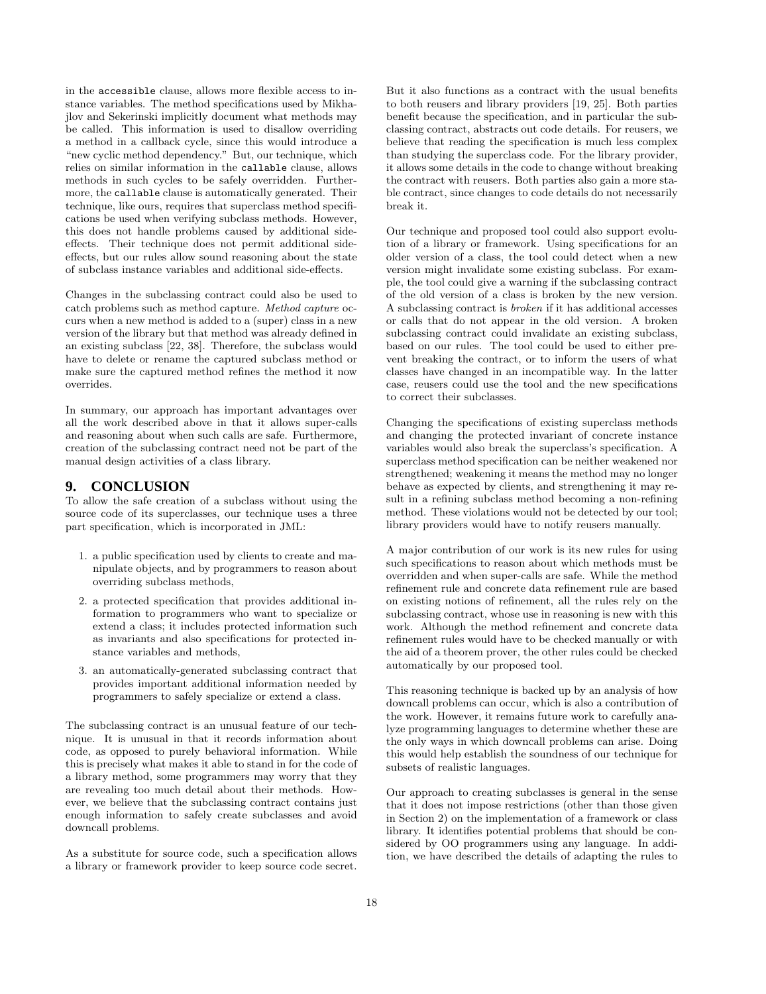in the accessible clause, allows more flexible access to instance variables. The method specifications used by Mikhajlov and Sekerinski implicitly document what methods may be called. This information is used to disallow overriding a method in a callback cycle, since this would introduce a "new cyclic method dependency." But, our technique, which relies on similar information in the callable clause, allows methods in such cycles to be safely overridden. Furthermore, the callable clause is automatically generated. Their technique, like ours, requires that superclass method specifications be used when verifying subclass methods. However, this does not handle problems caused by additional sideeffects. Their technique does not permit additional sideeffects, but our rules allow sound reasoning about the state of subclass instance variables and additional side-effects.

Changes in the subclassing contract could also be used to catch problems such as method capture. Method capture occurs when a new method is added to a (super) class in a new version of the library but that method was already defined in an existing subclass [22, 38]. Therefore, the subclass would have to delete or rename the captured subclass method or make sure the captured method refines the method it now overrides.

In summary, our approach has important advantages over all the work described above in that it allows super-calls and reasoning about when such calls are safe. Furthermore, creation of the subclassing contract need not be part of the manual design activities of a class library.

#### **9. CONCLUSION**

To allow the safe creation of a subclass without using the source code of its superclasses, our technique uses a three part specification, which is incorporated in JML:

- 1. a public specification used by clients to create and manipulate objects, and by programmers to reason about overriding subclass methods,
- 2. a protected specification that provides additional information to programmers who want to specialize or extend a class; it includes protected information such as invariants and also specifications for protected instance variables and methods,
- 3. an automatically-generated subclassing contract that provides important additional information needed by programmers to safely specialize or extend a class.

The subclassing contract is an unusual feature of our technique. It is unusual in that it records information about code, as opposed to purely behavioral information. While this is precisely what makes it able to stand in for the code of a library method, some programmers may worry that they are revealing too much detail about their methods. However, we believe that the subclassing contract contains just enough information to safely create subclasses and avoid downcall problems.

As a substitute for source code, such a specification allows a library or framework provider to keep source code secret. But it also functions as a contract with the usual benefits to both reusers and library providers [19, 25]. Both parties benefit because the specification, and in particular the subclassing contract, abstracts out code details. For reusers, we believe that reading the specification is much less complex than studying the superclass code. For the library provider, it allows some details in the code to change without breaking the contract with reusers. Both parties also gain a more stable contract, since changes to code details do not necessarily break it.

Our technique and proposed tool could also support evolution of a library or framework. Using specifications for an older version of a class, the tool could detect when a new version might invalidate some existing subclass. For example, the tool could give a warning if the subclassing contract of the old version of a class is broken by the new version. A subclassing contract is broken if it has additional accesses or calls that do not appear in the old version. A broken subclassing contract could invalidate an existing subclass, based on our rules. The tool could be used to either prevent breaking the contract, or to inform the users of what classes have changed in an incompatible way. In the latter case, reusers could use the tool and the new specifications to correct their subclasses.

Changing the specifications of existing superclass methods and changing the protected invariant of concrete instance variables would also break the superclass's specification. A superclass method specification can be neither weakened nor strengthened; weakening it means the method may no longer behave as expected by clients, and strengthening it may result in a refining subclass method becoming a non-refining method. These violations would not be detected by our tool; library providers would have to notify reusers manually.

A major contribution of our work is its new rules for using such specifications to reason about which methods must be overridden and when super-calls are safe. While the method refinement rule and concrete data refinement rule are based on existing notions of refinement, all the rules rely on the subclassing contract, whose use in reasoning is new with this work. Although the method refinement and concrete data refinement rules would have to be checked manually or with the aid of a theorem prover, the other rules could be checked automatically by our proposed tool.

This reasoning technique is backed up by an analysis of how downcall problems can occur, which is also a contribution of the work. However, it remains future work to carefully analyze programming languages to determine whether these are the only ways in which downcall problems can arise. Doing this would help establish the soundness of our technique for subsets of realistic languages.

Our approach to creating subclasses is general in the sense that it does not impose restrictions (other than those given in Section 2) on the implementation of a framework or class library. It identifies potential problems that should be considered by OO programmers using any language. In addition, we have described the details of adapting the rules to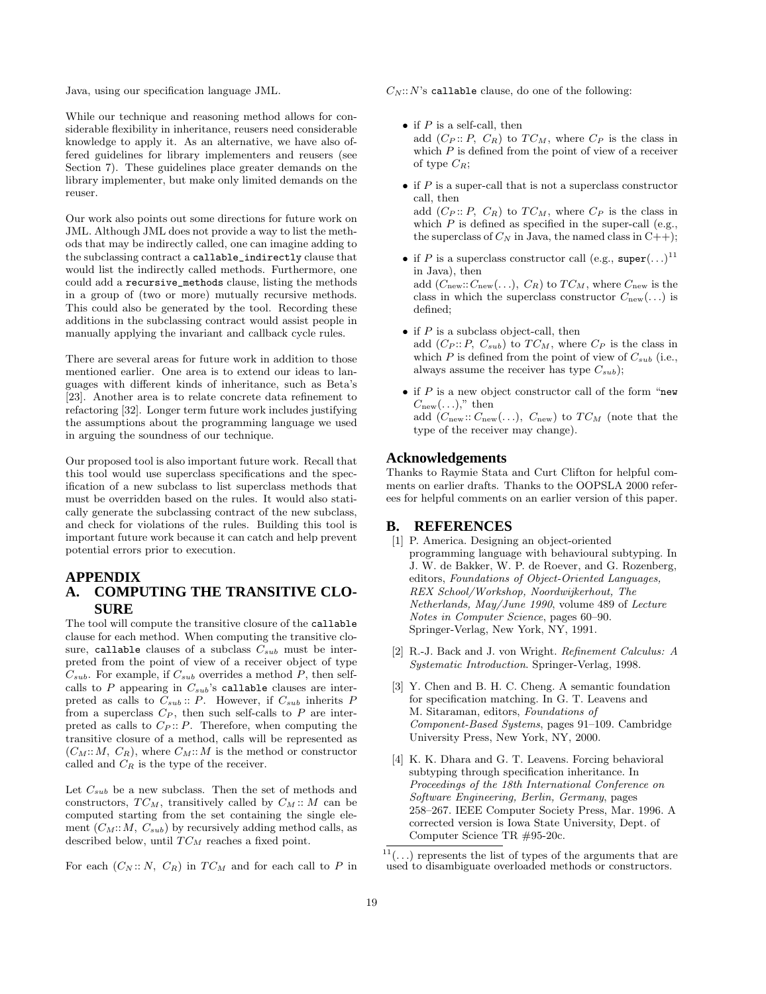Java, using our specification language JML.

While our technique and reasoning method allows for considerable flexibility in inheritance, reusers need considerable knowledge to apply it. As an alternative, we have also offered guidelines for library implementers and reusers (see Section 7). These guidelines place greater demands on the library implementer, but make only limited demands on the reuser.

Our work also points out some directions for future work on JML. Although JML does not provide a way to list the methods that may be indirectly called, one can imagine adding to the subclassing contract a callable\_indirectly clause that would list the indirectly called methods. Furthermore, one could add a recursive\_methods clause, listing the methods in a group of (two or more) mutually recursive methods. This could also be generated by the tool. Recording these additions in the subclassing contract would assist people in manually applying the invariant and callback cycle rules.

There are several areas for future work in addition to those mentioned earlier. One area is to extend our ideas to languages with different kinds of inheritance, such as Beta's [23]. Another area is to relate concrete data refinement to refactoring [32]. Longer term future work includes justifying the assumptions about the programming language we used in arguing the soundness of our technique.

Our proposed tool is also important future work. Recall that this tool would use superclass specifications and the specification of a new subclass to list superclass methods that must be overridden based on the rules. It would also statically generate the subclassing contract of the new subclass, and check for violations of the rules. Building this tool is important future work because it can catch and help prevent potential errors prior to execution.

#### **APPENDIX**

# **A. COMPUTING THE TRANSITIVE CLO-SURE**

The tool will compute the transitive closure of the callable clause for each method. When computing the transitive closure, callable clauses of a subclass  $C_{sub}$  must be interpreted from the point of view of a receiver object of type  $C_{sub}$ . For example, if  $C_{sub}$  overrides a method P, then selfcalls to  $P$  appearing in  $C_{sub}$ 's callable clauses are interpreted as calls to  $C_{sub}$ :: P. However, if  $C_{sub}$  inherits P from a superclass  $C_P$ , then such self-calls to  $P$  are interpreted as calls to  $C_P$ :: P. Therefore, when computing the transitive closure of a method, calls will be represented as  $(C_M: M, C_R)$ , where  $C_M: M$  is the method or constructor called and  $C_R$  is the type of the receiver.

Let  $C_{sub}$  be a new subclass. Then the set of methods and constructors,  $TC_M$ , transitively called by  $C_M$ : M can be computed starting from the set containing the single element  $(C_M: M, C_{sub})$  by recursively adding method calls, as described below, until  $TC_M$  reaches a fixed point.

For each  $(C_N : N, C_R)$  in  $TC_M$  and for each call to P in

 $C_N::N$ 's callable clause, do one of the following:

- if  $P$  is a self-call, then add  $(C_P : P, C_R)$  to  $TC_M$ , where  $C_P$  is the class in which  $P$  is defined from the point of view of a receiver of type  $C_R$ ;
- if  $P$  is a super-call that is not a superclass constructor call, then add  $(C_P : P, C_R)$  to  $TC_M$ , where  $C_P$  is the class in which  $P$  is defined as specified in the super-call (e.g., the superclass of  $C_N$  in Java, the named class in  $C_{++}$ ;
- if P is a superclass constructor call (e.g.,  $\text{super}(\ldots)^{11}$ in Java), then add  $(C_{\text{new}}::C_{\text{new}}(\ldots), C_R)$  to  $TC_M$ , where  $C_{\text{new}}$  is the class in which the superclass constructor  $C_{\text{new}}(\ldots)$  is defined;
- if  $P$  is a subclass object-call, then add  $(C_P:: P, C_{sub})$  to  $TC_M$ , where  $C_P$  is the class in which P is defined from the point of view of  $C_{sub}$  (i.e., always assume the receiver has type  $C_{sub}$ );
- if  $P$  is a new object constructor call of the form "new  $C_{\text{new}}(\ldots)$ ," then add  $(C_{\text{new}}::C_{\text{new}}(...), C_{\text{new}})$  to  $TC_M$  (note that the type of the receiver may change).

## **Acknowledgements**

Thanks to Raymie Stata and Curt Clifton for helpful comments on earlier drafts. Thanks to the OOPSLA 2000 referees for helpful comments on an earlier version of this paper.

## **B. REFERENCES**

- [1] P. America. Designing an object-oriented programming language with behavioural subtyping. In J. W. de Bakker, W. P. de Roever, and G. Rozenberg, editors, Foundations of Object-Oriented Languages, REX School/Workshop, Noordwijkerhout, The Netherlands, May/June 1990, volume 489 of Lecture Notes in Computer Science, pages 60–90. Springer-Verlag, New York, NY, 1991.
- [2] R.-J. Back and J. von Wright. Refinement Calculus: A Systematic Introduction. Springer-Verlag, 1998.
- [3] Y. Chen and B. H. C. Cheng. A semantic foundation for specification matching. In G. T. Leavens and M. Sitaraman, editors, Foundations of Component-Based Systems, pages 91–109. Cambridge University Press, New York, NY, 2000.
- [4] K. K. Dhara and G. T. Leavens. Forcing behavioral subtyping through specification inheritance. In Proceedings of the 18th International Conference on Software Engineering, Berlin, Germany, pages 258–267. IEEE Computer Society Press, Mar. 1996. A corrected version is Iowa State University, Dept. of Computer Science TR #95-20c.

 $11$ (...) represents the list of types of the arguments that are used to disambiguate overloaded methods or constructors.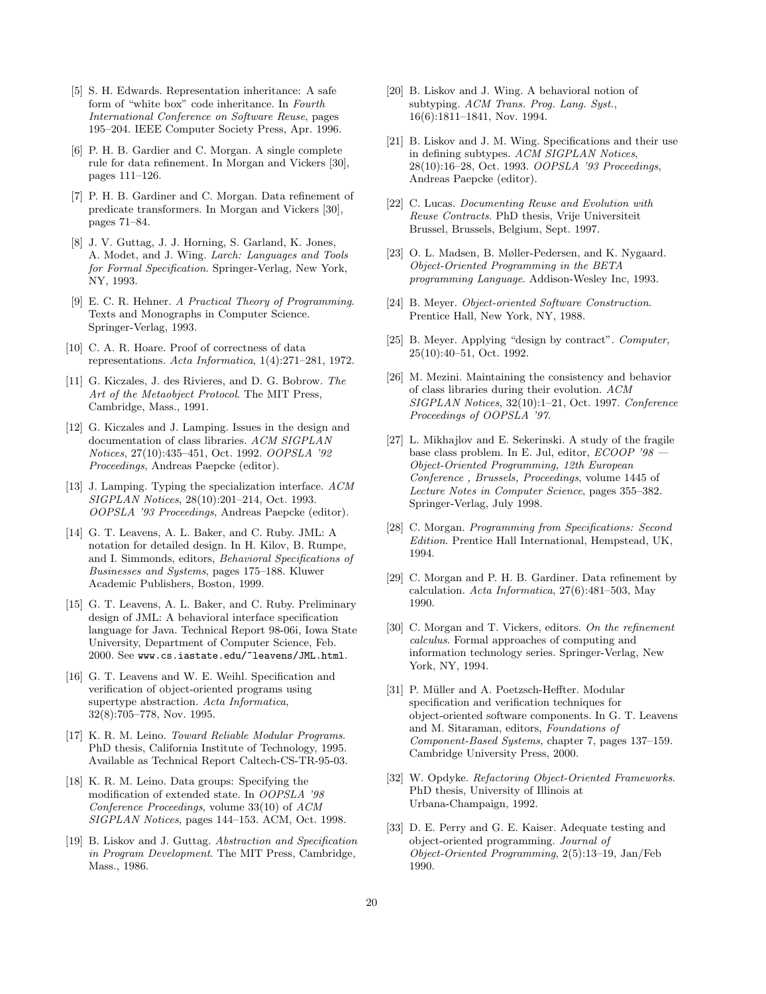- [5] S. H. Edwards. Representation inheritance: A safe form of "white box" code inheritance. In Fourth International Conference on Software Reuse, pages 195–204. IEEE Computer Society Press, Apr. 1996.
- [6] P. H. B. Gardier and C. Morgan. A single complete rule for data refinement. In Morgan and Vickers [30], pages 111–126.
- [7] P. H. B. Gardiner and C. Morgan. Data refinement of predicate transformers. In Morgan and Vickers [30], pages 71–84.
- [8] J. V. Guttag, J. J. Horning, S. Garland, K. Jones, A. Modet, and J. Wing. Larch: Languages and Tools for Formal Specification. Springer-Verlag, New York, NY, 1993.
- [9] E. C. R. Hehner. A Practical Theory of Programming. Texts and Monographs in Computer Science. Springer-Verlag, 1993.
- [10] C. A. R. Hoare. Proof of correctness of data representations. Acta Informatica, 1(4):271–281, 1972.
- [11] G. Kiczales, J. des Rivieres, and D. G. Bobrow. The Art of the Metaobject Protocol. The MIT Press, Cambridge, Mass., 1991.
- [12] G. Kiczales and J. Lamping. Issues in the design and documentation of class libraries. ACM SIGPLAN Notices, 27(10):435–451, Oct. 1992. OOPSLA '92 Proceedings, Andreas Paepcke (editor).
- [13] J. Lamping. Typing the specialization interface. ACM SIGPLAN Notices, 28(10):201–214, Oct. 1993. OOPSLA '93 Proceedings, Andreas Paepcke (editor).
- [14] G. T. Leavens, A. L. Baker, and C. Ruby. JML: A notation for detailed design. In H. Kilov, B. Rumpe, and I. Simmonds, editors, Behavioral Specifications of Businesses and Systems, pages 175–188. Kluwer Academic Publishers, Boston, 1999.
- [15] G. T. Leavens, A. L. Baker, and C. Ruby. Preliminary design of JML: A behavioral interface specification language for Java. Technical Report 98-06i, Iowa State University, Department of Computer Science, Feb. 2000. See www.cs.iastate.edu/~leavens/JML.html.
- [16] G. T. Leavens and W. E. Weihl. Specification and verification of object-oriented programs using supertype abstraction. Acta Informatica, 32(8):705–778, Nov. 1995.
- [17] K. R. M. Leino. Toward Reliable Modular Programs. PhD thesis, California Institute of Technology, 1995. Available as Technical Report Caltech-CS-TR-95-03.
- [18] K. R. M. Leino. Data groups: Specifying the modification of extended state. In OOPSLA '98 Conference Proceedings, volume 33(10) of ACM SIGPLAN Notices, pages 144–153. ACM, Oct. 1998.
- [19] B. Liskov and J. Guttag. Abstraction and Specification in Program Development. The MIT Press, Cambridge, Mass., 1986.
- [20] B. Liskov and J. Wing. A behavioral notion of subtyping. ACM Trans. Prog. Lang. Syst., 16(6):1811–1841, Nov. 1994.
- [21] B. Liskov and J. M. Wing. Specifications and their use in defining subtypes. ACM SIGPLAN Notices, 28(10):16–28, Oct. 1993. OOPSLA '93 Proceedings, Andreas Paepcke (editor).
- [22] C. Lucas. Documenting Reuse and Evolution with Reuse Contracts. PhD thesis, Vrije Universiteit Brussel, Brussels, Belgium, Sept. 1997.
- [23] O. L. Madsen, B. Møller-Pedersen, and K. Nygaard. Object-Oriented Programming in the BETA programming Language. Addison-Wesley Inc, 1993.
- [24] B. Meyer. Object-oriented Software Construction. Prentice Hall, New York, NY, 1988.
- [25] B. Meyer. Applying "design by contract". Computer, 25(10):40–51, Oct. 1992.
- [26] M. Mezini. Maintaining the consistency and behavior of class libraries during their evolution. ACM SIGPLAN Notices, 32(10):1–21, Oct. 1997. Conference Proceedings of OOPSLA '97.
- [27] L. Mikhajlov and E. Sekerinski. A study of the fragile base class problem. In E. Jul, editor, ECOOP '98 — Object-Oriented Programming, 12th European Conference , Brussels, Proceedings, volume 1445 of Lecture Notes in Computer Science, pages 355–382. Springer-Verlag, July 1998.
- [28] C. Morgan. Programming from Specifications: Second Edition. Prentice Hall International, Hempstead, UK, 1994.
- [29] C. Morgan and P. H. B. Gardiner. Data refinement by calculation. Acta Informatica, 27(6):481–503, May 1990.
- [30] C. Morgan and T. Vickers, editors. On the refinement calculus. Formal approaches of computing and information technology series. Springer-Verlag, New York, NY, 1994.
- [31] P. Müller and A. Poetzsch-Heffter. Modular specification and verification techniques for object-oriented software components. In G. T. Leavens and M. Sitaraman, editors, Foundations of Component-Based Systems, chapter 7, pages 137–159. Cambridge University Press, 2000.
- [32] W. Opdyke. Refactoring Object-Oriented Frameworks. PhD thesis, University of Illinois at Urbana-Champaign, 1992.
- [33] D. E. Perry and G. E. Kaiser. Adequate testing and object-oriented programming. Journal of Object-Oriented Programming, 2(5):13–19, Jan/Feb 1990.